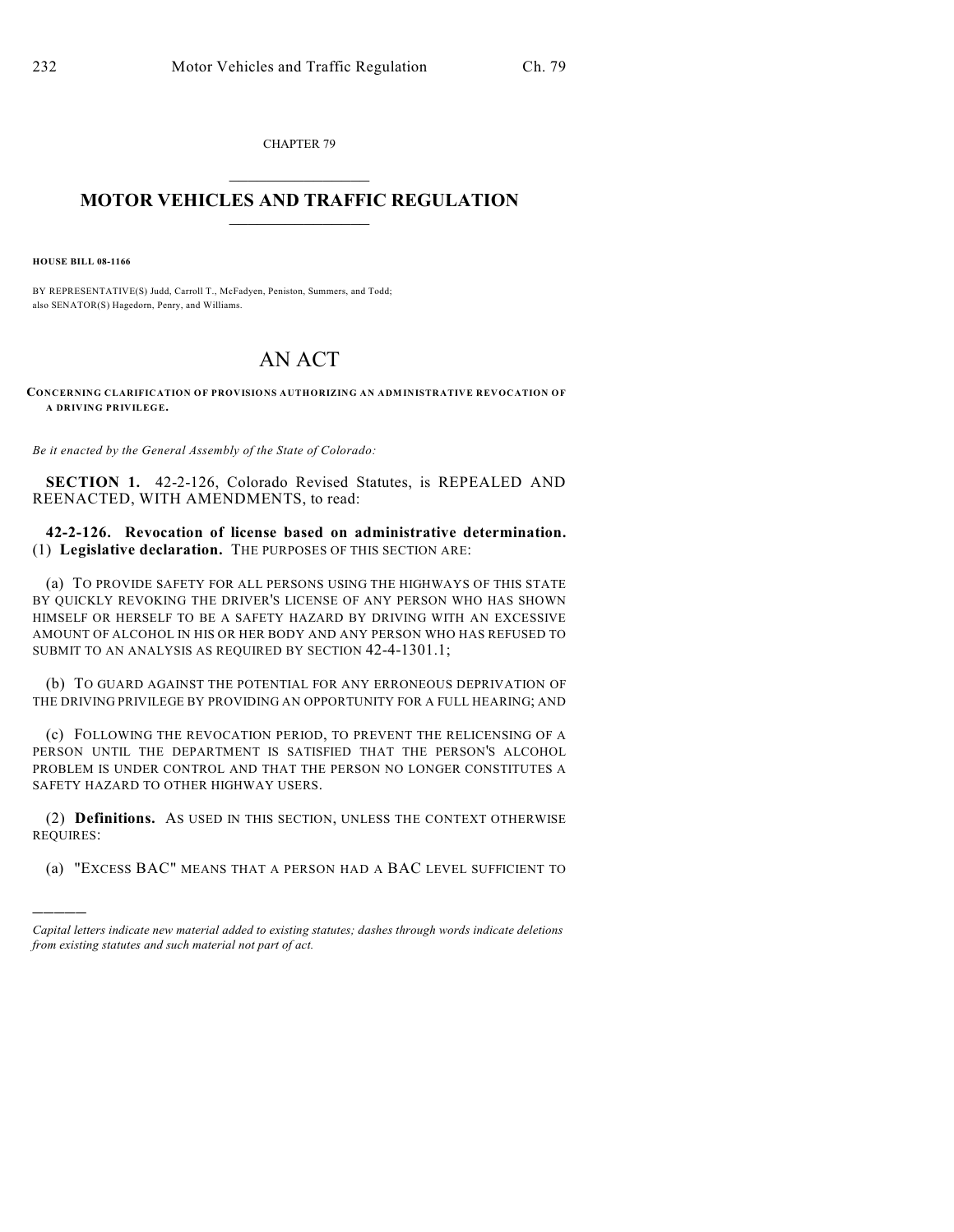CHAPTER 79  $\overline{\phantom{a}}$  . The set of the set of the set of the set of the set of the set of the set of the set of the set of the set of the set of the set of the set of the set of the set of the set of the set of the set of the set o

## **MOTOR VEHICLES AND TRAFFIC REGULATION**  $\frac{1}{2}$  ,  $\frac{1}{2}$  ,  $\frac{1}{2}$  ,  $\frac{1}{2}$  ,  $\frac{1}{2}$  ,  $\frac{1}{2}$  ,  $\frac{1}{2}$  ,  $\frac{1}{2}$

**HOUSE BILL 08-1166**

)))))

BY REPRESENTATIVE(S) Judd, Carroll T., McFadyen, Peniston, Summers, and Todd; also SENATOR(S) Hagedorn, Penry, and Williams.

## AN ACT

**CONCERNING CLARIFICATION OF PROVISIONS AUTHORIZING AN ADMINISTRATIVE REVOCATION OF A DRIVING PRIVILEGE.**

*Be it enacted by the General Assembly of the State of Colorado:*

**SECTION 1.** 42-2-126, Colorado Revised Statutes, is REPEALED AND REENACTED, WITH AMENDMENTS, to read:

**42-2-126. Revocation of license based on administrative determination.** (1) **Legislative declaration.** THE PURPOSES OF THIS SECTION ARE:

(a) TO PROVIDE SAFETY FOR ALL PERSONS USING THE HIGHWAYS OF THIS STATE BY QUICKLY REVOKING THE DRIVER'S LICENSE OF ANY PERSON WHO HAS SHOWN HIMSELF OR HERSELF TO BE A SAFETY HAZARD BY DRIVING WITH AN EXCESSIVE AMOUNT OF ALCOHOL IN HIS OR HER BODY AND ANY PERSON WHO HAS REFUSED TO SUBMIT TO AN ANALYSIS AS REQUIRED BY SECTION 42-4-1301.1;

(b) TO GUARD AGAINST THE POTENTIAL FOR ANY ERRONEOUS DEPRIVATION OF THE DRIVING PRIVILEGE BY PROVIDING AN OPPORTUNITY FOR A FULL HEARING; AND

(c) FOLLOWING THE REVOCATION PERIOD, TO PREVENT THE RELICENSING OF A PERSON UNTIL THE DEPARTMENT IS SATISFIED THAT THE PERSON'S ALCOHOL PROBLEM IS UNDER CONTROL AND THAT THE PERSON NO LONGER CONSTITUTES A SAFETY HAZARD TO OTHER HIGHWAY USERS.

(2) **Definitions.** AS USED IN THIS SECTION, UNLESS THE CONTEXT OTHERWISE REQUIRES:

(a) "EXCESS BAC" MEANS THAT A PERSON HAD A BAC LEVEL SUFFICIENT TO

*Capital letters indicate new material added to existing statutes; dashes through words indicate deletions from existing statutes and such material not part of act.*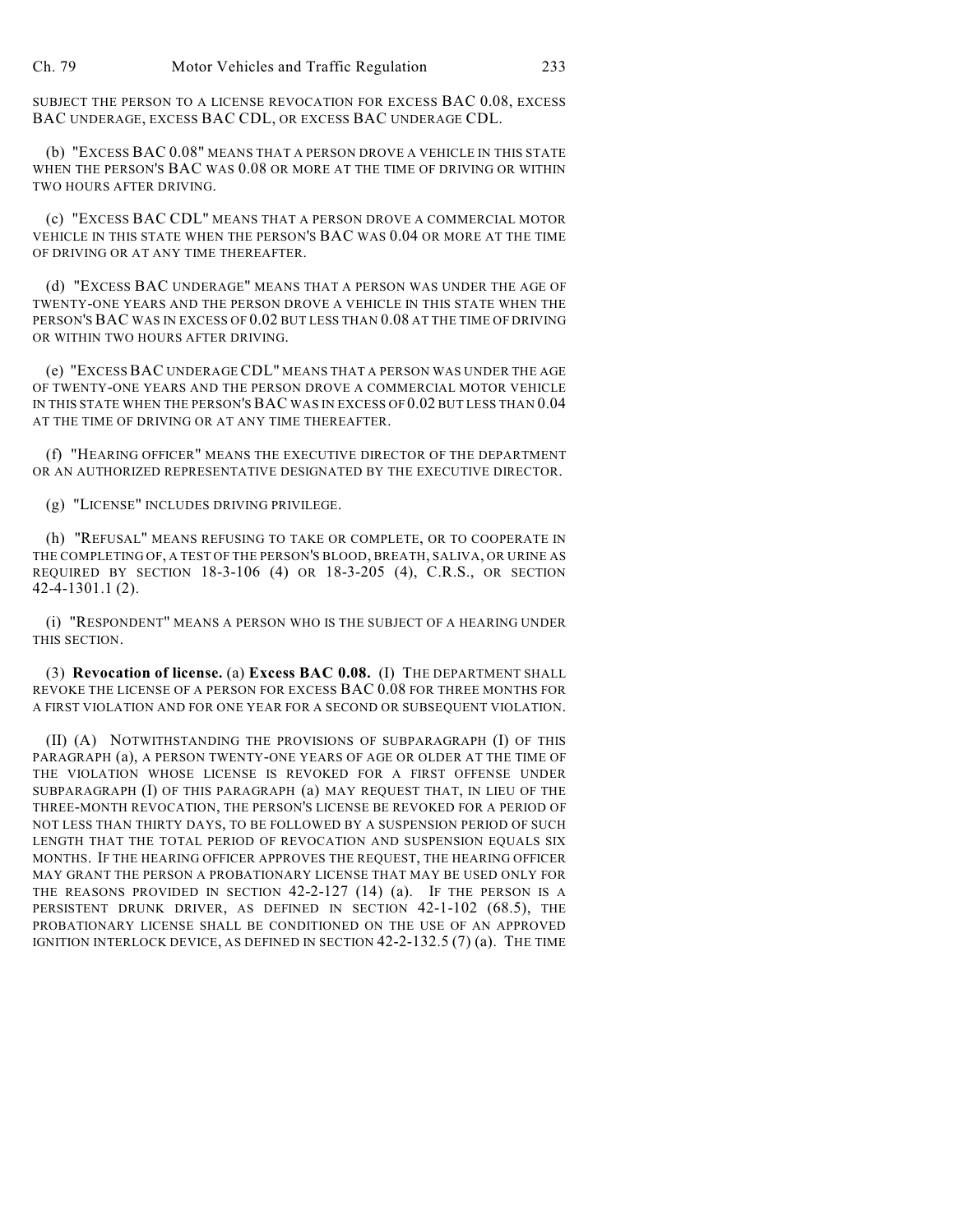SUBJECT THE PERSON TO A LICENSE REVOCATION FOR EXCESS BAC 0.08, EXCESS BAC UNDERAGE, EXCESS BAC CDL, OR EXCESS BAC UNDERAGE CDL.

(b) "EXCESS BAC 0.08" MEANS THAT A PERSON DROVE A VEHICLE IN THIS STATE WHEN THE PERSON'S BAC WAS 0.08 OR MORE AT THE TIME OF DRIVING OR WITHIN TWO HOURS AFTER DRIVING.

(c) "EXCESS BAC CDL" MEANS THAT A PERSON DROVE A COMMERCIAL MOTOR VEHICLE IN THIS STATE WHEN THE PERSON'S BAC WAS 0.04 OR MORE AT THE TIME OF DRIVING OR AT ANY TIME THEREAFTER.

(d) "EXCESS BAC UNDERAGE" MEANS THAT A PERSON WAS UNDER THE AGE OF TWENTY-ONE YEARS AND THE PERSON DROVE A VEHICLE IN THIS STATE WHEN THE PERSON'S BAC WAS IN EXCESS OF 0.02 BUT LESS THAN 0.08 AT THE TIME OF DRIVING OR WITHIN TWO HOURS AFTER DRIVING.

(e) "EXCESS BAC UNDERAGE CDL" MEANS THAT A PERSON WAS UNDER THE AGE OF TWENTY-ONE YEARS AND THE PERSON DROVE A COMMERCIAL MOTOR VEHICLE IN THIS STATE WHEN THE PERSON'S BAC WAS IN EXCESS OF 0.02 BUT LESS THAN 0.04 AT THE TIME OF DRIVING OR AT ANY TIME THEREAFTER.

(f) "HEARING OFFICER" MEANS THE EXECUTIVE DIRECTOR OF THE DEPARTMENT OR AN AUTHORIZED REPRESENTATIVE DESIGNATED BY THE EXECUTIVE DIRECTOR.

(g) "LICENSE" INCLUDES DRIVING PRIVILEGE.

(h) "REFUSAL" MEANS REFUSING TO TAKE OR COMPLETE, OR TO COOPERATE IN THE COMPLETING OF, A TEST OF THE PERSON'S BLOOD, BREATH, SALIVA, OR URINE AS REQUIRED BY SECTION 18-3-106 (4) OR 18-3-205 (4), C.R.S., OR SECTION 42-4-1301.1 (2).

(i) "RESPONDENT" MEANS A PERSON WHO IS THE SUBJECT OF A HEARING UNDER THIS SECTION.

(3) **Revocation of license.** (a) **Excess BAC 0.08.** (I) THE DEPARTMENT SHALL REVOKE THE LICENSE OF A PERSON FOR EXCESS BAC 0.08 FOR THREE MONTHS FOR A FIRST VIOLATION AND FOR ONE YEAR FOR A SECOND OR SUBSEQUENT VIOLATION.

(II) (A) NOTWITHSTANDING THE PROVISIONS OF SUBPARAGRAPH (I) OF THIS PARAGRAPH (a), A PERSON TWENTY-ONE YEARS OF AGE OR OLDER AT THE TIME OF THE VIOLATION WHOSE LICENSE IS REVOKED FOR A FIRST OFFENSE UNDER SUBPARAGRAPH (I) OF THIS PARAGRAPH (a) MAY REQUEST THAT, IN LIEU OF THE THREE-MONTH REVOCATION, THE PERSON'S LICENSE BE REVOKED FOR A PERIOD OF NOT LESS THAN THIRTY DAYS, TO BE FOLLOWED BY A SUSPENSION PERIOD OF SUCH LENGTH THAT THE TOTAL PERIOD OF REVOCATION AND SUSPENSION EQUALS SIX MONTHS. IF THE HEARING OFFICER APPROVES THE REQUEST, THE HEARING OFFICER MAY GRANT THE PERSON A PROBATIONARY LICENSE THAT MAY BE USED ONLY FOR THE REASONS PROVIDED IN SECTION 42-2-127 (14) (a). IF THE PERSON IS A PERSISTENT DRUNK DRIVER, AS DEFINED IN SECTION 42-1-102 (68.5), THE PROBATIONARY LICENSE SHALL BE CONDITIONED ON THE USE OF AN APPROVED IGNITION INTERLOCK DEVICE, AS DEFINED IN SECTION 42-2-132.5 (7) (a). THE TIME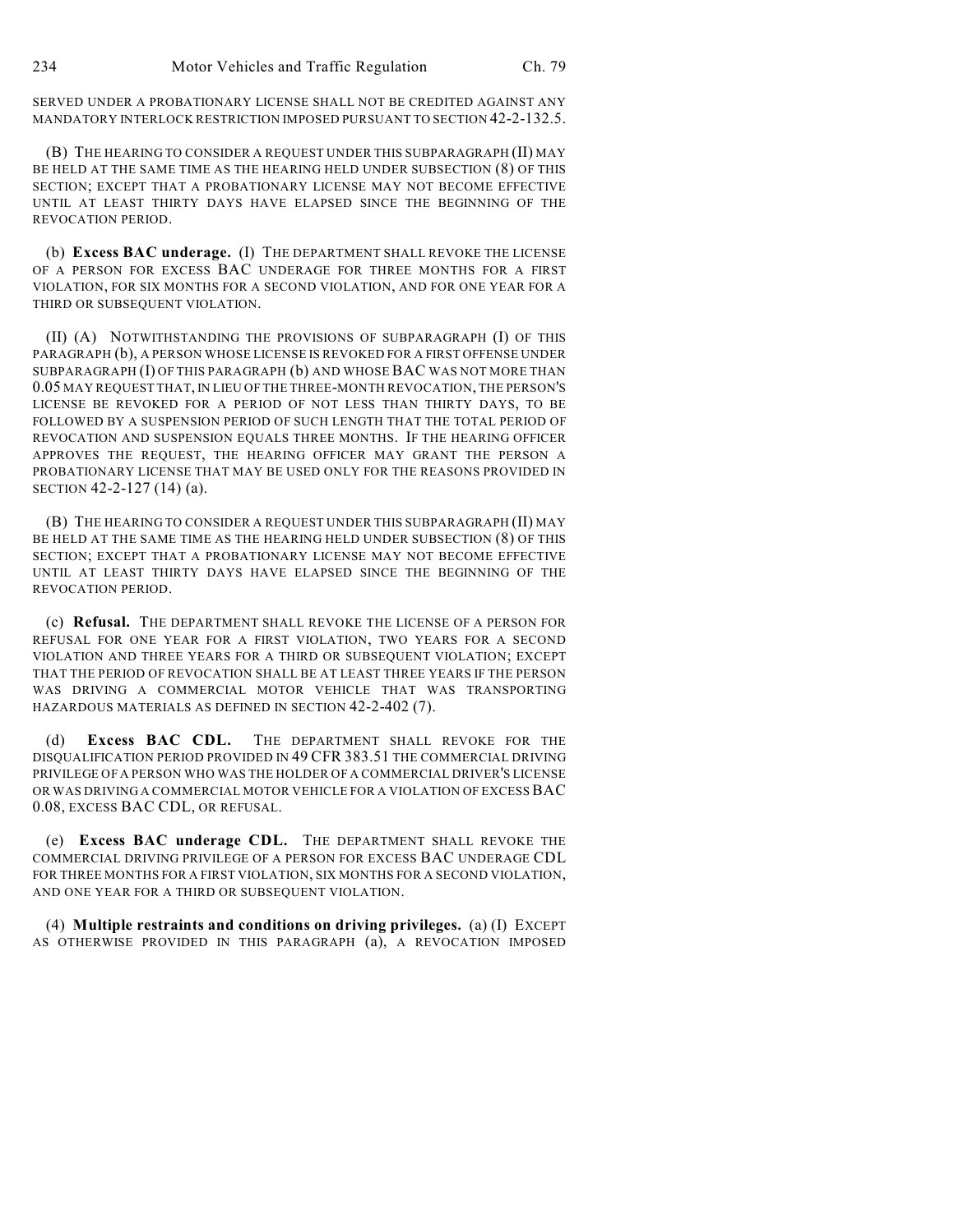SERVED UNDER A PROBATIONARY LICENSE SHALL NOT BE CREDITED AGAINST ANY MANDATORY INTERLOCK RESTRICTION IMPOSED PURSUANT TO SECTION 42-2-132.5.

(B) THE HEARING TO CONSIDER A REQUEST UNDER THIS SUBPARAGRAPH (II) MAY BE HELD AT THE SAME TIME AS THE HEARING HELD UNDER SUBSECTION (8) OF THIS SECTION; EXCEPT THAT A PROBATIONARY LICENSE MAY NOT BECOME EFFECTIVE UNTIL AT LEAST THIRTY DAYS HAVE ELAPSED SINCE THE BEGINNING OF THE REVOCATION PERIOD.

(b) **Excess BAC underage.** (I) THE DEPARTMENT SHALL REVOKE THE LICENSE OF A PERSON FOR EXCESS BAC UNDERAGE FOR THREE MONTHS FOR A FIRST VIOLATION, FOR SIX MONTHS FOR A SECOND VIOLATION, AND FOR ONE YEAR FOR A THIRD OR SUBSEQUENT VIOLATION.

(II) (A) NOTWITHSTANDING THE PROVISIONS OF SUBPARAGRAPH (I) OF THIS PARAGRAPH (b), A PERSON WHOSE LICENSE IS REVOKED FOR A FIRST OFFENSE UNDER SUBPARAGRAPH (I) OF THIS PARAGRAPH (b) AND WHOSE BAC WAS NOT MORE THAN 0.05 MAY REQUEST THAT, IN LIEU OF THE THREE-MONTH REVOCATION, THE PERSON'S LICENSE BE REVOKED FOR A PERIOD OF NOT LESS THAN THIRTY DAYS, TO BE FOLLOWED BY A SUSPENSION PERIOD OF SUCH LENGTH THAT THE TOTAL PERIOD OF REVOCATION AND SUSPENSION EQUALS THREE MONTHS. IF THE HEARING OFFICER APPROVES THE REQUEST, THE HEARING OFFICER MAY GRANT THE PERSON A PROBATIONARY LICENSE THAT MAY BE USED ONLY FOR THE REASONS PROVIDED IN SECTION 42-2-127 (14) (a).

(B) THE HEARING TO CONSIDER A REQUEST UNDER THIS SUBPARAGRAPH (II) MAY BE HELD AT THE SAME TIME AS THE HEARING HELD UNDER SUBSECTION (8) OF THIS SECTION; EXCEPT THAT A PROBATIONARY LICENSE MAY NOT BECOME EFFECTIVE UNTIL AT LEAST THIRTY DAYS HAVE ELAPSED SINCE THE BEGINNING OF THE REVOCATION PERIOD.

(c) **Refusal.** THE DEPARTMENT SHALL REVOKE THE LICENSE OF A PERSON FOR REFUSAL FOR ONE YEAR FOR A FIRST VIOLATION, TWO YEARS FOR A SECOND VIOLATION AND THREE YEARS FOR A THIRD OR SUBSEQUENT VIOLATION; EXCEPT THAT THE PERIOD OF REVOCATION SHALL BE AT LEAST THREE YEARS IF THE PERSON WAS DRIVING A COMMERCIAL MOTOR VEHICLE THAT WAS TRANSPORTING HAZARDOUS MATERIALS AS DEFINED IN SECTION 42-2-402 (7).

(d) **Excess BAC CDL.** THE DEPARTMENT SHALL REVOKE FOR THE DISQUALIFICATION PERIOD PROVIDED IN 49 CFR 383.51 THE COMMERCIAL DRIVING PRIVILEGE OF A PERSON WHO WAS THE HOLDER OF A COMMERCIAL DRIVER'S LICENSE OR WAS DRIVING A COMMERCIAL MOTOR VEHICLE FOR A VIOLATION OF EXCESS BAC 0.08, EXCESS BAC CDL, OR REFUSAL.

(e) **Excess BAC underage CDL.** THE DEPARTMENT SHALL REVOKE THE COMMERCIAL DRIVING PRIVILEGE OF A PERSON FOR EXCESS BAC UNDERAGE CDL FOR THREE MONTHS FOR A FIRST VIOLATION, SIX MONTHS FOR A SECOND VIOLATION, AND ONE YEAR FOR A THIRD OR SUBSEQUENT VIOLATION.

(4) **Multiple restraints and conditions on driving privileges.** (a) (I) EXCEPT AS OTHERWISE PROVIDED IN THIS PARAGRAPH (a), A REVOCATION IMPOSED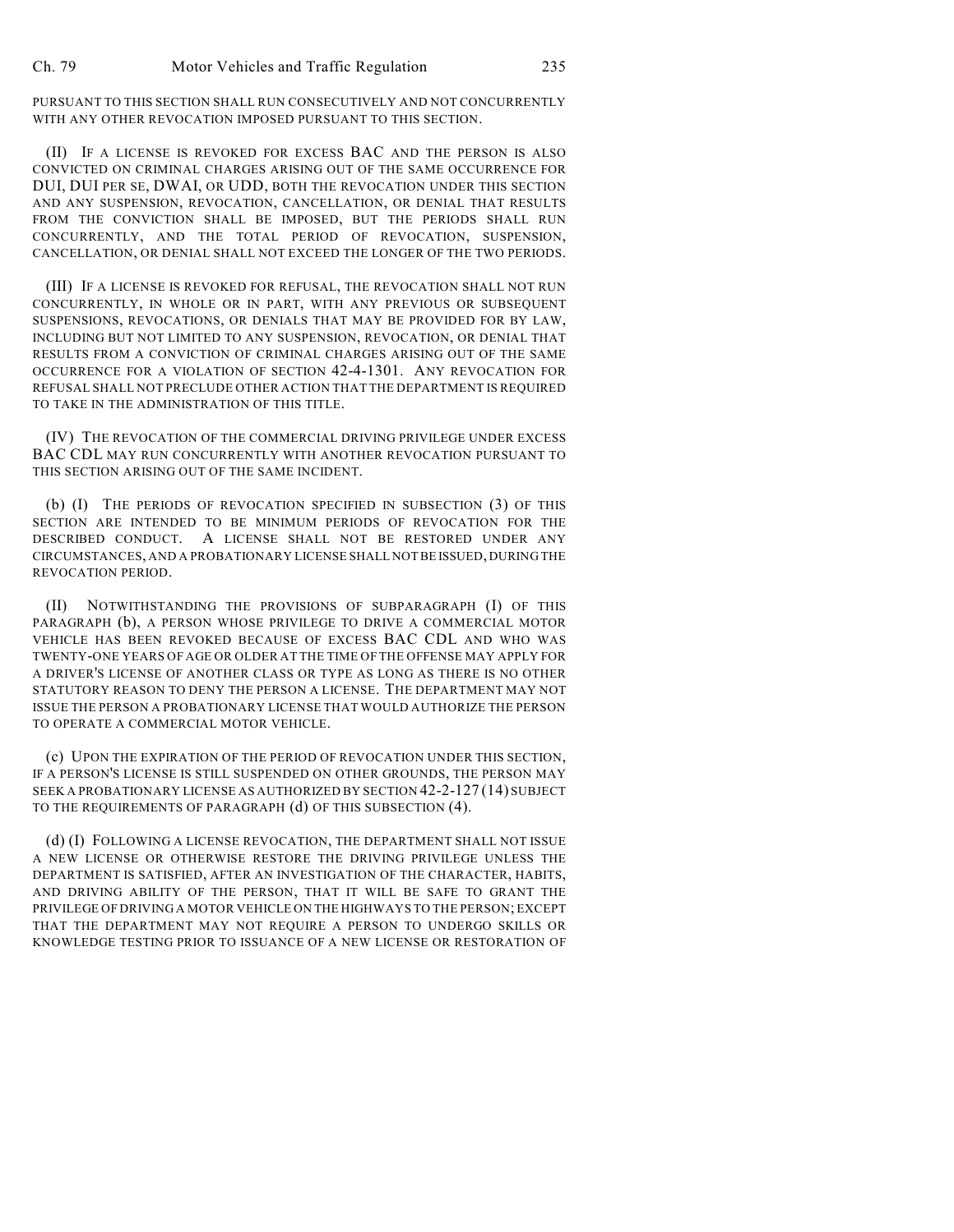PURSUANT TO THIS SECTION SHALL RUN CONSECUTIVELY AND NOT CONCURRENTLY WITH ANY OTHER REVOCATION IMPOSED PURSUANT TO THIS SECTION.

(II) IF A LICENSE IS REVOKED FOR EXCESS BAC AND THE PERSON IS ALSO CONVICTED ON CRIMINAL CHARGES ARISING OUT OF THE SAME OCCURRENCE FOR DUI, DUI PER SE, DWAI, OR UDD, BOTH THE REVOCATION UNDER THIS SECTION AND ANY SUSPENSION, REVOCATION, CANCELLATION, OR DENIAL THAT RESULTS FROM THE CONVICTION SHALL BE IMPOSED, BUT THE PERIODS SHALL RUN CONCURRENTLY, AND THE TOTAL PERIOD OF REVOCATION, SUSPENSION, CANCELLATION, OR DENIAL SHALL NOT EXCEED THE LONGER OF THE TWO PERIODS.

(III) IF A LICENSE IS REVOKED FOR REFUSAL, THE REVOCATION SHALL NOT RUN CONCURRENTLY, IN WHOLE OR IN PART, WITH ANY PREVIOUS OR SUBSEQUENT SUSPENSIONS, REVOCATIONS, OR DENIALS THAT MAY BE PROVIDED FOR BY LAW, INCLUDING BUT NOT LIMITED TO ANY SUSPENSION, REVOCATION, OR DENIAL THAT RESULTS FROM A CONVICTION OF CRIMINAL CHARGES ARISING OUT OF THE SAME OCCURRENCE FOR A VIOLATION OF SECTION 42-4-1301. ANY REVOCATION FOR REFUSAL SHALL NOT PRECLUDE OTHER ACTION THAT THE DEPARTMENT IS REQUIRED TO TAKE IN THE ADMINISTRATION OF THIS TITLE.

(IV) THE REVOCATION OF THE COMMERCIAL DRIVING PRIVILEGE UNDER EXCESS BAC CDL MAY RUN CONCURRENTLY WITH ANOTHER REVOCATION PURSUANT TO THIS SECTION ARISING OUT OF THE SAME INCIDENT.

(b) (I) THE PERIODS OF REVOCATION SPECIFIED IN SUBSECTION (3) OF THIS SECTION ARE INTENDED TO BE MINIMUM PERIODS OF REVOCATION FOR THE DESCRIBED CONDUCT. A LICENSE SHALL NOT BE RESTORED UNDER ANY CIRCUMSTANCES, AND A PROBATIONARY LICENSE SHALL NOT BE ISSUED, DURING THE REVOCATION PERIOD.

(II) NOTWITHSTANDING THE PROVISIONS OF SUBPARAGRAPH (I) OF THIS PARAGRAPH (b), A PERSON WHOSE PRIVILEGE TO DRIVE A COMMERCIAL MOTOR VEHICLE HAS BEEN REVOKED BECAUSE OF EXCESS BAC CDL AND WHO WAS TWENTY-ONE YEARS OF AGE OR OLDER AT THE TIME OF THE OFFENSE MAY APPLY FOR A DRIVER'S LICENSE OF ANOTHER CLASS OR TYPE AS LONG AS THERE IS NO OTHER STATUTORY REASON TO DENY THE PERSON A LICENSE. THE DEPARTMENT MAY NOT ISSUE THE PERSON A PROBATIONARY LICENSE THAT WOULD AUTHORIZE THE PERSON TO OPERATE A COMMERCIAL MOTOR VEHICLE.

(c) UPON THE EXPIRATION OF THE PERIOD OF REVOCATION UNDER THIS SECTION, IF A PERSON'S LICENSE IS STILL SUSPENDED ON OTHER GROUNDS, THE PERSON MAY SEEK A PROBATIONARY LICENSE AS AUTHORIZED BY SECTION 42-2-127 (14) SUBJECT TO THE REQUIREMENTS OF PARAGRAPH (d) OF THIS SUBSECTION (4).

(d) (I) FOLLOWING A LICENSE REVOCATION, THE DEPARTMENT SHALL NOT ISSUE A NEW LICENSE OR OTHERWISE RESTORE THE DRIVING PRIVILEGE UNLESS THE DEPARTMENT IS SATISFIED, AFTER AN INVESTIGATION OF THE CHARACTER, HABITS, AND DRIVING ABILITY OF THE PERSON, THAT IT WILL BE SAFE TO GRANT THE PRIVILEGE OF DRIVING A MOTOR VEHICLE ON THE HIGHWAYS TO THE PERSON; EXCEPT THAT THE DEPARTMENT MAY NOT REQUIRE A PERSON TO UNDERGO SKILLS OR KNOWLEDGE TESTING PRIOR TO ISSUANCE OF A NEW LICENSE OR RESTORATION OF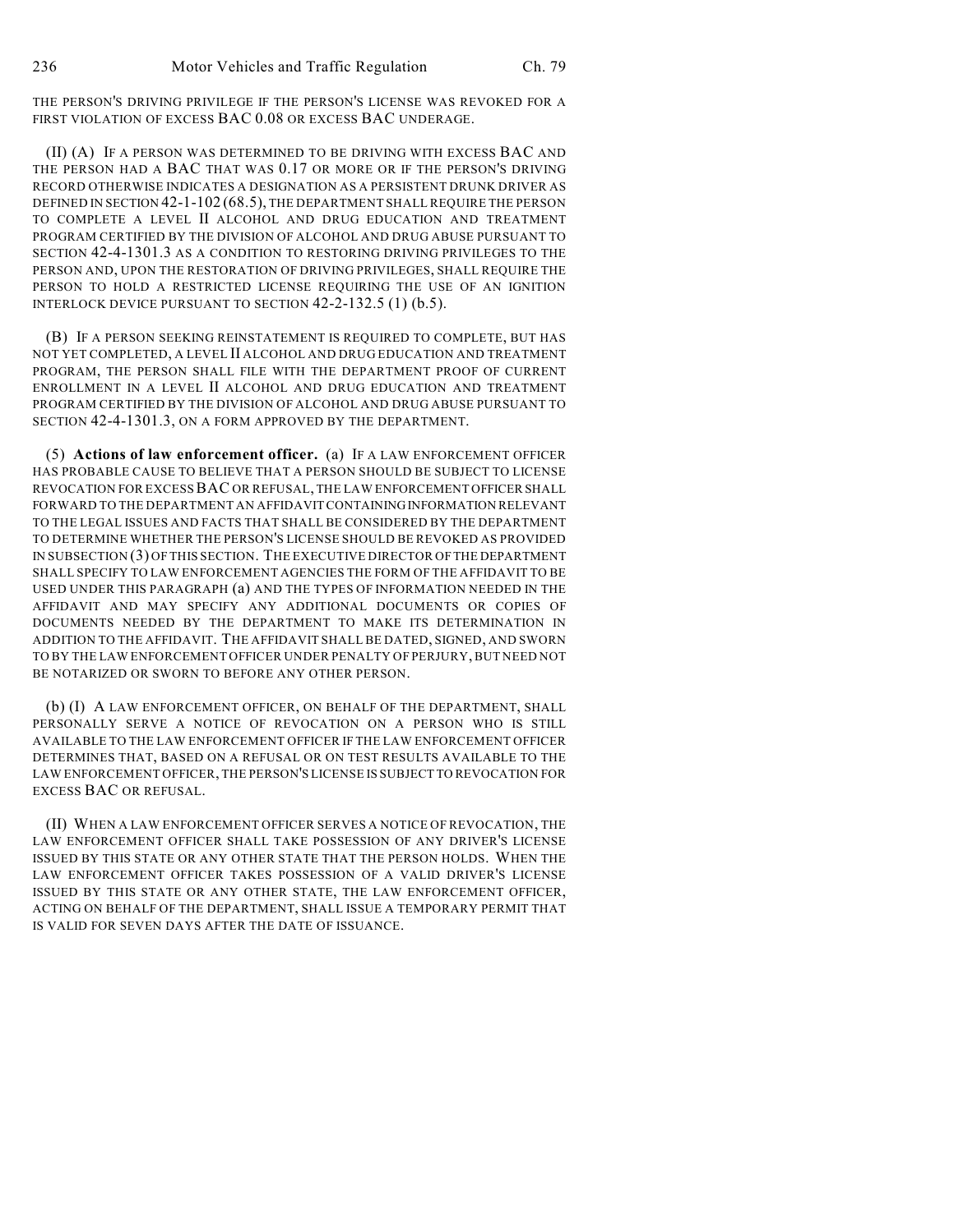THE PERSON'S DRIVING PRIVILEGE IF THE PERSON'S LICENSE WAS REVOKED FOR A FIRST VIOLATION OF EXCESS BAC 0.08 OR EXCESS BAC UNDERAGE.

(II) (A) IF A PERSON WAS DETERMINED TO BE DRIVING WITH EXCESS BAC AND THE PERSON HAD A BAC THAT WAS 0.17 OR MORE OR IF THE PERSON'S DRIVING RECORD OTHERWISE INDICATES A DESIGNATION AS A PERSISTENT DRUNK DRIVER AS DEFINED IN SECTION 42-1-102 (68.5), THE DEPARTMENT SHALL REQUIRE THE PERSON TO COMPLETE A LEVEL II ALCOHOL AND DRUG EDUCATION AND TREATMENT PROGRAM CERTIFIED BY THE DIVISION OF ALCOHOL AND DRUG ABUSE PURSUANT TO SECTION 42-4-1301.3 AS A CONDITION TO RESTORING DRIVING PRIVILEGES TO THE PERSON AND, UPON THE RESTORATION OF DRIVING PRIVILEGES, SHALL REQUIRE THE PERSON TO HOLD A RESTRICTED LICENSE REQUIRING THE USE OF AN IGNITION INTERLOCK DEVICE PURSUANT TO SECTION 42-2-132.5 (1) (b.5).

(B) IF A PERSON SEEKING REINSTATEMENT IS REQUIRED TO COMPLETE, BUT HAS NOT YET COMPLETED, A LEVEL II ALCOHOL AND DRUG EDUCATION AND TREATMENT PROGRAM, THE PERSON SHALL FILE WITH THE DEPARTMENT PROOF OF CURRENT ENROLLMENT IN A LEVEL II ALCOHOL AND DRUG EDUCATION AND TREATMENT PROGRAM CERTIFIED BY THE DIVISION OF ALCOHOL AND DRUG ABUSE PURSUANT TO SECTION 42-4-1301.3, ON A FORM APPROVED BY THE DEPARTMENT.

(5) **Actions of law enforcement officer.** (a) IF A LAW ENFORCEMENT OFFICER HAS PROBABLE CAUSE TO BELIEVE THAT A PERSON SHOULD BE SUBJECT TO LICENSE REVOCATION FOR EXCESSBAC OR REFUSAL, THE LAW ENFORCEMENT OFFICER SHALL FORWARD TO THE DEPARTMENT AN AFFIDAVIT CONTAINING INFORMATION RELEVANT TO THE LEGAL ISSUES AND FACTS THAT SHALL BE CONSIDERED BY THE DEPARTMENT TO DETERMINE WHETHER THE PERSON'S LICENSE SHOULD BE REVOKED AS PROVIDED IN SUBSECTION (3) OF THIS SECTION. THE EXECUTIVE DIRECTOR OF THE DEPARTMENT SHALL SPECIFY TO LAW ENFORCEMENT AGENCIES THE FORM OF THE AFFIDAVIT TO BE USED UNDER THIS PARAGRAPH (a) AND THE TYPES OF INFORMATION NEEDED IN THE AFFIDAVIT AND MAY SPECIFY ANY ADDITIONAL DOCUMENTS OR COPIES OF DOCUMENTS NEEDED BY THE DEPARTMENT TO MAKE ITS DETERMINATION IN ADDITION TO THE AFFIDAVIT. THE AFFIDAVIT SHALL BE DATED, SIGNED, AND SWORN TO BY THE LAW ENFORCEMENT OFFICER UNDER PENALTY OF PERJURY, BUT NEED NOT BE NOTARIZED OR SWORN TO BEFORE ANY OTHER PERSON.

(b) (I) A LAW ENFORCEMENT OFFICER, ON BEHALF OF THE DEPARTMENT, SHALL PERSONALLY SERVE A NOTICE OF REVOCATION ON A PERSON WHO IS STILL AVAILABLE TO THE LAW ENFORCEMENT OFFICER IF THE LAW ENFORCEMENT OFFICER DETERMINES THAT, BASED ON A REFUSAL OR ON TEST RESULTS AVAILABLE TO THE LAW ENFORCEMENT OFFICER, THE PERSON'S LICENSE IS SUBJECT TO REVOCATION FOR EXCESS BAC OR REFUSAL.

(II) WHEN A LAW ENFORCEMENT OFFICER SERVES A NOTICE OF REVOCATION, THE LAW ENFORCEMENT OFFICER SHALL TAKE POSSESSION OF ANY DRIVER'S LICENSE ISSUED BY THIS STATE OR ANY OTHER STATE THAT THE PERSON HOLDS. WHEN THE LAW ENFORCEMENT OFFICER TAKES POSSESSION OF A VALID DRIVER'S LICENSE ISSUED BY THIS STATE OR ANY OTHER STATE, THE LAW ENFORCEMENT OFFICER, ACTING ON BEHALF OF THE DEPARTMENT, SHALL ISSUE A TEMPORARY PERMIT THAT IS VALID FOR SEVEN DAYS AFTER THE DATE OF ISSUANCE.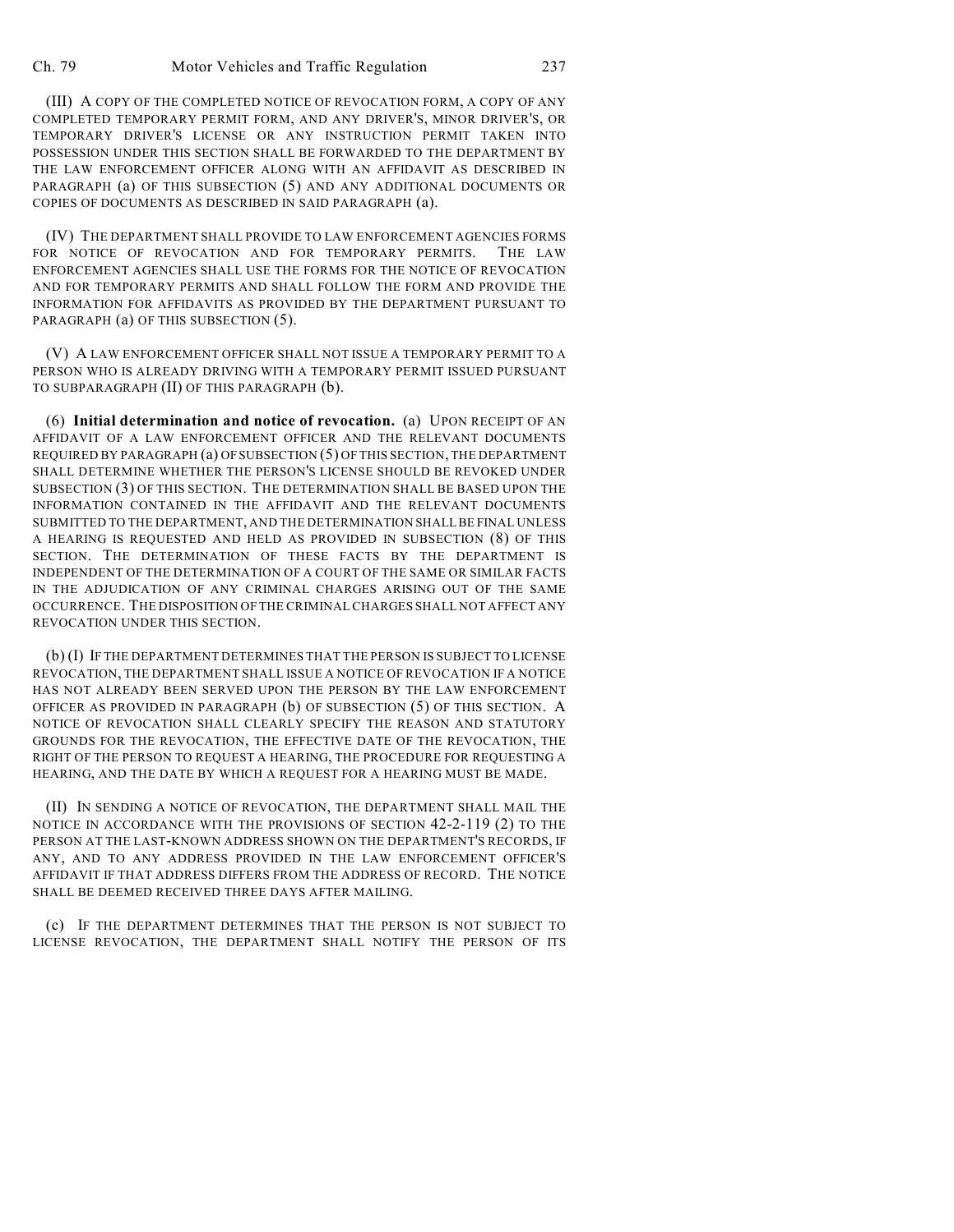(III) A COPY OF THE COMPLETED NOTICE OF REVOCATION FORM, A COPY OF ANY COMPLETED TEMPORARY PERMIT FORM, AND ANY DRIVER'S, MINOR DRIVER'S, OR TEMPORARY DRIVER'S LICENSE OR ANY INSTRUCTION PERMIT TAKEN INTO POSSESSION UNDER THIS SECTION SHALL BE FORWARDED TO THE DEPARTMENT BY THE LAW ENFORCEMENT OFFICER ALONG WITH AN AFFIDAVIT AS DESCRIBED IN PARAGRAPH (a) OF THIS SUBSECTION (5) AND ANY ADDITIONAL DOCUMENTS OR COPIES OF DOCUMENTS AS DESCRIBED IN SAID PARAGRAPH (a).

(IV) THE DEPARTMENT SHALL PROVIDE TO LAW ENFORCEMENT AGENCIES FORMS FOR NOTICE OF REVOCATION AND FOR TEMPORARY PERMITS. THE LAW ENFORCEMENT AGENCIES SHALL USE THE FORMS FOR THE NOTICE OF REVOCATION AND FOR TEMPORARY PERMITS AND SHALL FOLLOW THE FORM AND PROVIDE THE INFORMATION FOR AFFIDAVITS AS PROVIDED BY THE DEPARTMENT PURSUANT TO PARAGRAPH (a) OF THIS SUBSECTION (5).

(V) A LAW ENFORCEMENT OFFICER SHALL NOT ISSUE A TEMPORARY PERMIT TO A PERSON WHO IS ALREADY DRIVING WITH A TEMPORARY PERMIT ISSUED PURSUANT TO SUBPARAGRAPH (II) OF THIS PARAGRAPH (b).

(6) **Initial determination and notice of revocation.** (a) UPON RECEIPT OF AN AFFIDAVIT OF A LAW ENFORCEMENT OFFICER AND THE RELEVANT DOCUMENTS REQUIRED BY PARAGRAPH (a) OF SUBSECTION (5) OF THIS SECTION, THE DEPARTMENT SHALL DETERMINE WHETHER THE PERSON'S LICENSE SHOULD BE REVOKED UNDER SUBSECTION (3) OF THIS SECTION. THE DETERMINATION SHALL BE BASED UPON THE INFORMATION CONTAINED IN THE AFFIDAVIT AND THE RELEVANT DOCUMENTS SUBMITTED TO THE DEPARTMENT, AND THE DETERMINATION SHALL BE FINAL UNLESS A HEARING IS REQUESTED AND HELD AS PROVIDED IN SUBSECTION (8) OF THIS SECTION. THE DETERMINATION OF THESE FACTS BY THE DEPARTMENT IS INDEPENDENT OF THE DETERMINATION OF A COURT OF THE SAME OR SIMILAR FACTS IN THE ADJUDICATION OF ANY CRIMINAL CHARGES ARISING OUT OF THE SAME OCCURRENCE. THE DISPOSITION OF THE CRIMINAL CHARGES SHALL NOT AFFECT ANY REVOCATION UNDER THIS SECTION.

(b) (I) IF THE DEPARTMENT DETERMINES THAT THE PERSON IS SUBJECT TO LICENSE REVOCATION, THE DEPARTMENT SHALL ISSUE A NOTICE OF REVOCATION IF A NOTICE HAS NOT ALREADY BEEN SERVED UPON THE PERSON BY THE LAW ENFORCEMENT OFFICER AS PROVIDED IN PARAGRAPH (b) OF SUBSECTION (5) OF THIS SECTION. A NOTICE OF REVOCATION SHALL CLEARLY SPECIFY THE REASON AND STATUTORY GROUNDS FOR THE REVOCATION, THE EFFECTIVE DATE OF THE REVOCATION, THE RIGHT OF THE PERSON TO REQUEST A HEARING, THE PROCEDURE FOR REQUESTING A HEARING, AND THE DATE BY WHICH A REQUEST FOR A HEARING MUST BE MADE.

(II) IN SENDING A NOTICE OF REVOCATION, THE DEPARTMENT SHALL MAIL THE NOTICE IN ACCORDANCE WITH THE PROVISIONS OF SECTION 42-2-119 (2) TO THE PERSON AT THE LAST-KNOWN ADDRESS SHOWN ON THE DEPARTMENT'S RECORDS, IF ANY, AND TO ANY ADDRESS PROVIDED IN THE LAW ENFORCEMENT OFFICER'S AFFIDAVIT IF THAT ADDRESS DIFFERS FROM THE ADDRESS OF RECORD. THE NOTICE SHALL BE DEEMED RECEIVED THREE DAYS AFTER MAILING.

(c) IF THE DEPARTMENT DETERMINES THAT THE PERSON IS NOT SUBJECT TO LICENSE REVOCATION, THE DEPARTMENT SHALL NOTIFY THE PERSON OF ITS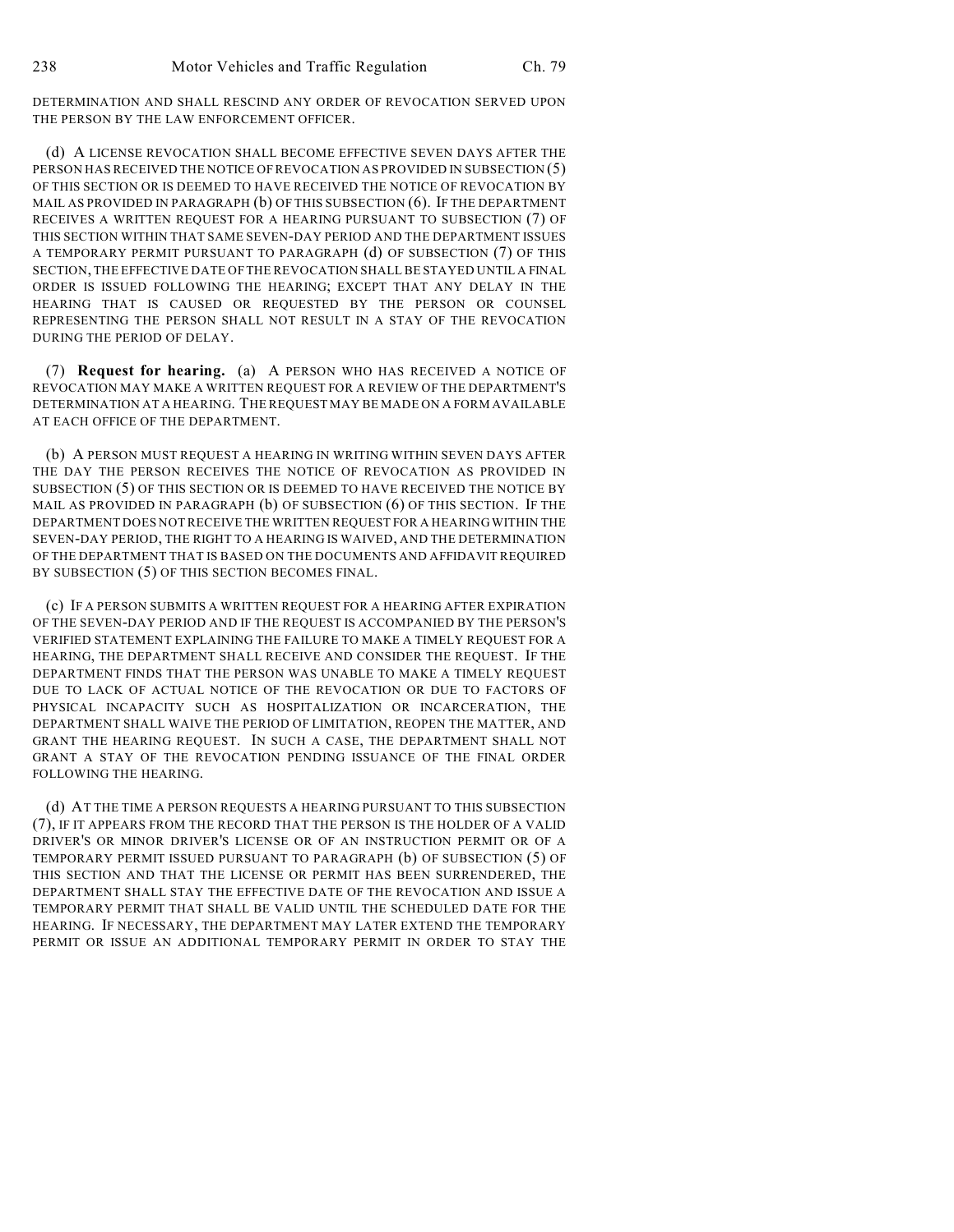DETERMINATION AND SHALL RESCIND ANY ORDER OF REVOCATION SERVED UPON THE PERSON BY THE LAW ENFORCEMENT OFFICER.

(d) A LICENSE REVOCATION SHALL BECOME EFFECTIVE SEVEN DAYS AFTER THE PERSON HAS RECEIVED THE NOTICE OF REVOCATION AS PROVIDED IN SUBSECTION (5) OF THIS SECTION OR IS DEEMED TO HAVE RECEIVED THE NOTICE OF REVOCATION BY MAIL AS PROVIDED IN PARAGRAPH (b) OF THIS SUBSECTION (6). IF THE DEPARTMENT RECEIVES A WRITTEN REQUEST FOR A HEARING PURSUANT TO SUBSECTION (7) OF THIS SECTION WITHIN THAT SAME SEVEN-DAY PERIOD AND THE DEPARTMENT ISSUES A TEMPORARY PERMIT PURSUANT TO PARAGRAPH (d) OF SUBSECTION (7) OF THIS SECTION, THE EFFECTIVE DATE OF THE REVOCATION SHALL BE STAYED UNTIL A FINAL ORDER IS ISSUED FOLLOWING THE HEARING; EXCEPT THAT ANY DELAY IN THE HEARING THAT IS CAUSED OR REQUESTED BY THE PERSON OR COUNSEL REPRESENTING THE PERSON SHALL NOT RESULT IN A STAY OF THE REVOCATION DURING THE PERIOD OF DELAY.

(7) **Request for hearing.** (a) A PERSON WHO HAS RECEIVED A NOTICE OF REVOCATION MAY MAKE A WRITTEN REQUEST FOR A REVIEW OF THE DEPARTMENT'S DETERMINATION AT A HEARING. THE REQUEST MAY BE MADE ON A FORM AVAILABLE AT EACH OFFICE OF THE DEPARTMENT.

(b) A PERSON MUST REQUEST A HEARING IN WRITING WITHIN SEVEN DAYS AFTER THE DAY THE PERSON RECEIVES THE NOTICE OF REVOCATION AS PROVIDED IN SUBSECTION (5) OF THIS SECTION OR IS DEEMED TO HAVE RECEIVED THE NOTICE BY MAIL AS PROVIDED IN PARAGRAPH (b) OF SUBSECTION (6) OF THIS SECTION. IF THE DEPARTMENT DOES NOT RECEIVE THE WRITTEN REQUEST FOR A HEARING WITHIN THE SEVEN-DAY PERIOD, THE RIGHT TO A HEARING IS WAIVED, AND THE DETERMINATION OF THE DEPARTMENT THAT IS BASED ON THE DOCUMENTS AND AFFIDAVIT REQUIRED BY SUBSECTION (5) OF THIS SECTION BECOMES FINAL.

(c) IF A PERSON SUBMITS A WRITTEN REQUEST FOR A HEARING AFTER EXPIRATION OF THE SEVEN-DAY PERIOD AND IF THE REQUEST IS ACCOMPANIED BY THE PERSON'S VERIFIED STATEMENT EXPLAINING THE FAILURE TO MAKE A TIMELY REQUEST FOR A HEARING, THE DEPARTMENT SHALL RECEIVE AND CONSIDER THE REQUEST. IF THE DEPARTMENT FINDS THAT THE PERSON WAS UNABLE TO MAKE A TIMELY REQUEST DUE TO LACK OF ACTUAL NOTICE OF THE REVOCATION OR DUE TO FACTORS OF PHYSICAL INCAPACITY SUCH AS HOSPITALIZATION OR INCARCERATION, THE DEPARTMENT SHALL WAIVE THE PERIOD OF LIMITATION, REOPEN THE MATTER, AND GRANT THE HEARING REQUEST. IN SUCH A CASE, THE DEPARTMENT SHALL NOT GRANT A STAY OF THE REVOCATION PENDING ISSUANCE OF THE FINAL ORDER FOLLOWING THE HEARING.

(d) AT THE TIME A PERSON REQUESTS A HEARING PURSUANT TO THIS SUBSECTION (7), IF IT APPEARS FROM THE RECORD THAT THE PERSON IS THE HOLDER OF A VALID DRIVER'S OR MINOR DRIVER'S LICENSE OR OF AN INSTRUCTION PERMIT OR OF A TEMPORARY PERMIT ISSUED PURSUANT TO PARAGRAPH (b) OF SUBSECTION (5) OF THIS SECTION AND THAT THE LICENSE OR PERMIT HAS BEEN SURRENDERED, THE DEPARTMENT SHALL STAY THE EFFECTIVE DATE OF THE REVOCATION AND ISSUE A TEMPORARY PERMIT THAT SHALL BE VALID UNTIL THE SCHEDULED DATE FOR THE HEARING. IF NECESSARY, THE DEPARTMENT MAY LATER EXTEND THE TEMPORARY PERMIT OR ISSUE AN ADDITIONAL TEMPORARY PERMIT IN ORDER TO STAY THE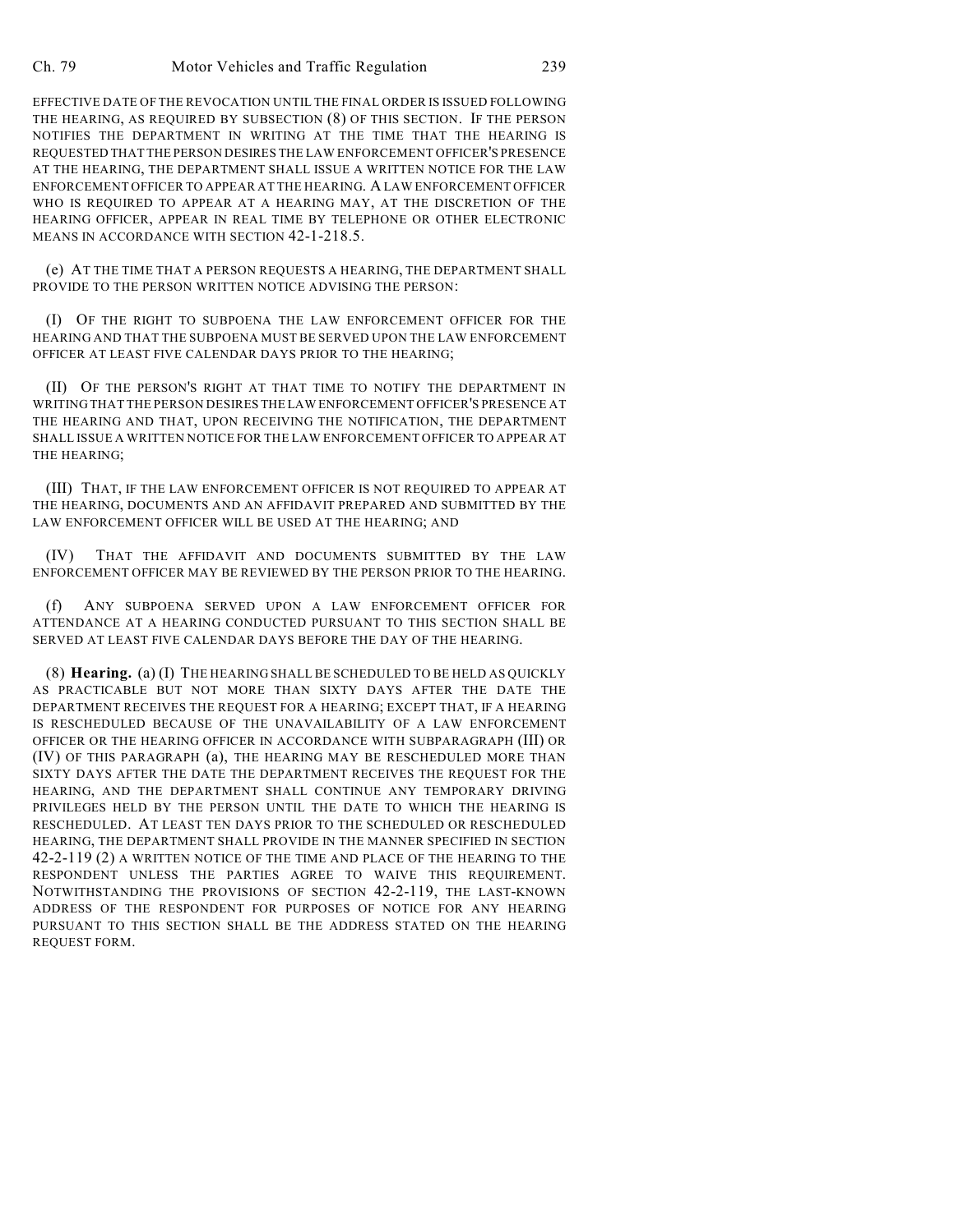EFFECTIVE DATE OF THE REVOCATION UNTIL THE FINAL ORDER IS ISSUED FOLLOWING THE HEARING, AS REQUIRED BY SUBSECTION (8) OF THIS SECTION. IF THE PERSON NOTIFIES THE DEPARTMENT IN WRITING AT THE TIME THAT THE HEARING IS REQUESTED THAT THE PERSON DESIRES THE LAW ENFORCEMENT OFFICER'S PRESENCE AT THE HEARING, THE DEPARTMENT SHALL ISSUE A WRITTEN NOTICE FOR THE LAW ENFORCEMENT OFFICER TO APPEAR AT THE HEARING. A LAW ENFORCEMENT OFFICER WHO IS REQUIRED TO APPEAR AT A HEARING MAY, AT THE DISCRETION OF THE HEARING OFFICER, APPEAR IN REAL TIME BY TELEPHONE OR OTHER ELECTRONIC MEANS IN ACCORDANCE WITH SECTION 42-1-218.5.

(e) AT THE TIME THAT A PERSON REQUESTS A HEARING, THE DEPARTMENT SHALL PROVIDE TO THE PERSON WRITTEN NOTICE ADVISING THE PERSON:

(I) OF THE RIGHT TO SUBPOENA THE LAW ENFORCEMENT OFFICER FOR THE HEARING AND THAT THE SUBPOENA MUST BE SERVED UPON THE LAW ENFORCEMENT OFFICER AT LEAST FIVE CALENDAR DAYS PRIOR TO THE HEARING;

(II) OF THE PERSON'S RIGHT AT THAT TIME TO NOTIFY THE DEPARTMENT IN WRITING THAT THE PERSON DESIRES THE LAW ENFORCEMENT OFFICER'S PRESENCE AT THE HEARING AND THAT, UPON RECEIVING THE NOTIFICATION, THE DEPARTMENT SHALL ISSUE A WRITTEN NOTICE FOR THE LAW ENFORCEMENT OFFICER TO APPEAR AT THE HEARING;

(III) THAT, IF THE LAW ENFORCEMENT OFFICER IS NOT REQUIRED TO APPEAR AT THE HEARING, DOCUMENTS AND AN AFFIDAVIT PREPARED AND SUBMITTED BY THE LAW ENFORCEMENT OFFICER WILL BE USED AT THE HEARING; AND

(IV) THAT THE AFFIDAVIT AND DOCUMENTS SUBMITTED BY THE LAW ENFORCEMENT OFFICER MAY BE REVIEWED BY THE PERSON PRIOR TO THE HEARING.

(f) ANY SUBPOENA SERVED UPON A LAW ENFORCEMENT OFFICER FOR ATTENDANCE AT A HEARING CONDUCTED PURSUANT TO THIS SECTION SHALL BE SERVED AT LEAST FIVE CALENDAR DAYS BEFORE THE DAY OF THE HEARING.

(8) **Hearing.** (a) (I) THE HEARING SHALL BE SCHEDULED TO BE HELD AS QUICKLY AS PRACTICABLE BUT NOT MORE THAN SIXTY DAYS AFTER THE DATE THE DEPARTMENT RECEIVES THE REQUEST FOR A HEARING; EXCEPT THAT, IF A HEARING IS RESCHEDULED BECAUSE OF THE UNAVAILABILITY OF A LAW ENFORCEMENT OFFICER OR THE HEARING OFFICER IN ACCORDANCE WITH SUBPARAGRAPH (III) OR (IV) OF THIS PARAGRAPH (a), THE HEARING MAY BE RESCHEDULED MORE THAN SIXTY DAYS AFTER THE DATE THE DEPARTMENT RECEIVES THE REQUEST FOR THE HEARING, AND THE DEPARTMENT SHALL CONTINUE ANY TEMPORARY DRIVING PRIVILEGES HELD BY THE PERSON UNTIL THE DATE TO WHICH THE HEARING IS RESCHEDULED. AT LEAST TEN DAYS PRIOR TO THE SCHEDULED OR RESCHEDULED HEARING, THE DEPARTMENT SHALL PROVIDE IN THE MANNER SPECIFIED IN SECTION 42-2-119 (2) A WRITTEN NOTICE OF THE TIME AND PLACE OF THE HEARING TO THE RESPONDENT UNLESS THE PARTIES AGREE TO WAIVE THIS REQUIREMENT. NOTWITHSTANDING THE PROVISIONS OF SECTION 42-2-119, THE LAST-KNOWN ADDRESS OF THE RESPONDENT FOR PURPOSES OF NOTICE FOR ANY HEARING PURSUANT TO THIS SECTION SHALL BE THE ADDRESS STATED ON THE HEARING REQUEST FORM.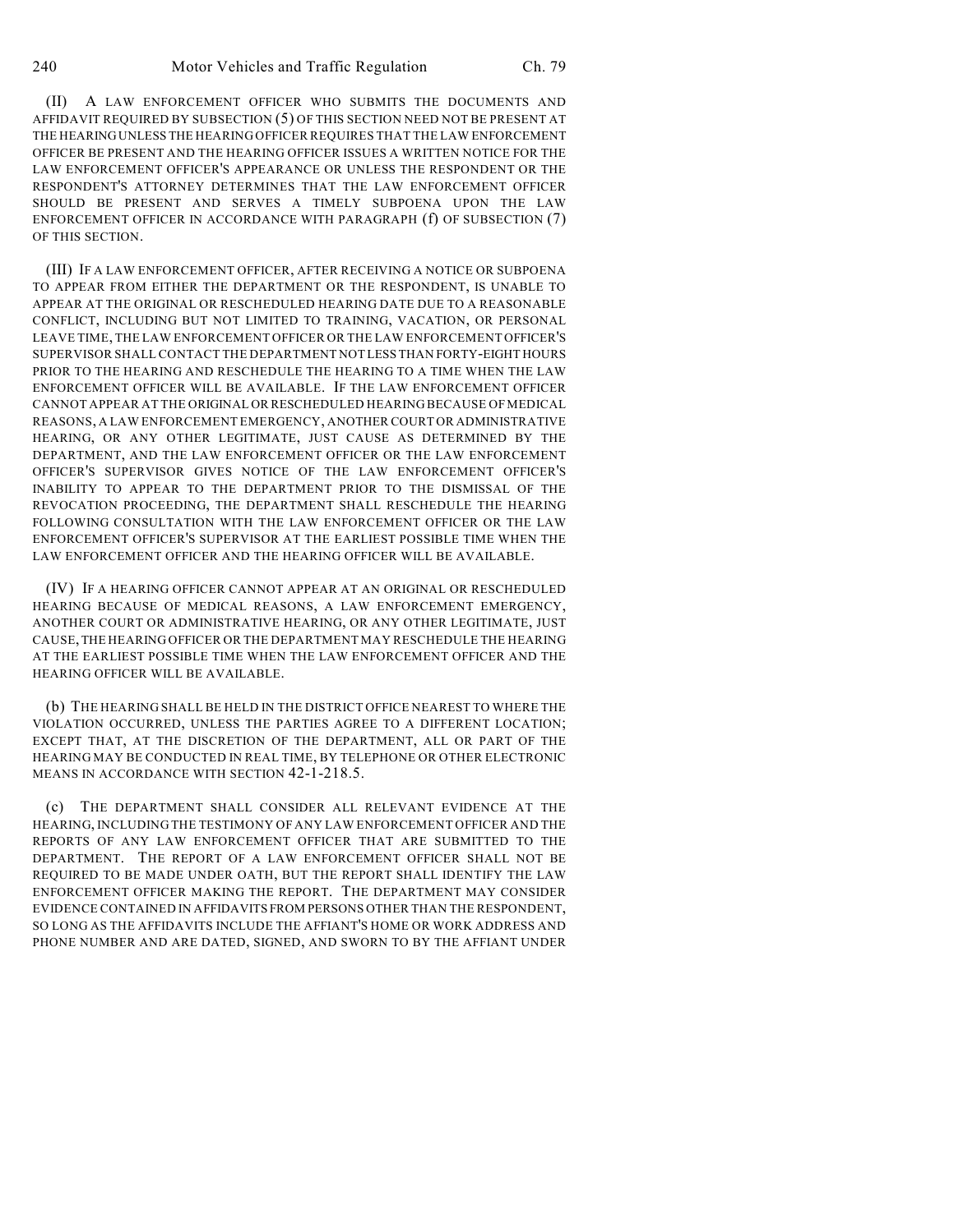(II) A LAW ENFORCEMENT OFFICER WHO SUBMITS THE DOCUMENTS AND AFFIDAVIT REQUIRED BY SUBSECTION (5) OF THIS SECTION NEED NOT BE PRESENT AT THE HEARING UNLESS THE HEARING OFFICER REQUIRES THAT THE LAW ENFORCEMENT OFFICER BE PRESENT AND THE HEARING OFFICER ISSUES A WRITTEN NOTICE FOR THE LAW ENFORCEMENT OFFICER'S APPEARANCE OR UNLESS THE RESPONDENT OR THE RESPONDENT'S ATTORNEY DETERMINES THAT THE LAW ENFORCEMENT OFFICER SHOULD BE PRESENT AND SERVES A TIMELY SUBPOENA UPON THE LAW ENFORCEMENT OFFICER IN ACCORDANCE WITH PARAGRAPH (f) OF SUBSECTION (7) OF THIS SECTION.

(III) IF A LAW ENFORCEMENT OFFICER, AFTER RECEIVING A NOTICE OR SUBPOENA TO APPEAR FROM EITHER THE DEPARTMENT OR THE RESPONDENT, IS UNABLE TO APPEAR AT THE ORIGINAL OR RESCHEDULED HEARING DATE DUE TO A REASONABLE CONFLICT, INCLUDING BUT NOT LIMITED TO TRAINING, VACATION, OR PERSONAL LEAVE TIME, THE LAW ENFORCEMENT OFFICER OR THE LAW ENFORCEMENT OFFICER'S SUPERVISOR SHALL CONTACT THE DEPARTMENT NOT LESS THAN FORTY-EIGHT HOURS PRIOR TO THE HEARING AND RESCHEDULE THE HEARING TO A TIME WHEN THE LAW ENFORCEMENT OFFICER WILL BE AVAILABLE. IF THE LAW ENFORCEMENT OFFICER CANNOT APPEAR AT THE ORIGINAL OR RESCHEDULED HEARING BECAUSE OF MEDICAL REASONS, A LAW ENFORCEMENT EMERGENCY, ANOTHER COURT OR ADMINISTRATIVE HEARING, OR ANY OTHER LEGITIMATE, JUST CAUSE AS DETERMINED BY THE DEPARTMENT, AND THE LAW ENFORCEMENT OFFICER OR THE LAW ENFORCEMENT OFFICER'S SUPERVISOR GIVES NOTICE OF THE LAW ENFORCEMENT OFFICER'S INABILITY TO APPEAR TO THE DEPARTMENT PRIOR TO THE DISMISSAL OF THE REVOCATION PROCEEDING, THE DEPARTMENT SHALL RESCHEDULE THE HEARING FOLLOWING CONSULTATION WITH THE LAW ENFORCEMENT OFFICER OR THE LAW ENFORCEMENT OFFICER'S SUPERVISOR AT THE EARLIEST POSSIBLE TIME WHEN THE LAW ENFORCEMENT OFFICER AND THE HEARING OFFICER WILL BE AVAILABLE.

(IV) IF A HEARING OFFICER CANNOT APPEAR AT AN ORIGINAL OR RESCHEDULED HEARING BECAUSE OF MEDICAL REASONS, A LAW ENFORCEMENT EMERGENCY, ANOTHER COURT OR ADMINISTRATIVE HEARING, OR ANY OTHER LEGITIMATE, JUST CAUSE, THE HEARING OFFICER OR THE DEPARTMENT MAY RESCHEDULE THE HEARING AT THE EARLIEST POSSIBLE TIME WHEN THE LAW ENFORCEMENT OFFICER AND THE HEARING OFFICER WILL BE AVAILABLE.

(b) THE HEARING SHALL BE HELD IN THE DISTRICT OFFICE NEAREST TO WHERE THE VIOLATION OCCURRED, UNLESS THE PARTIES AGREE TO A DIFFERENT LOCATION; EXCEPT THAT, AT THE DISCRETION OF THE DEPARTMENT, ALL OR PART OF THE HEARING MAY BE CONDUCTED IN REAL TIME, BY TELEPHONE OR OTHER ELECTRONIC MEANS IN ACCORDANCE WITH SECTION 42-1-218.5.

(c) THE DEPARTMENT SHALL CONSIDER ALL RELEVANT EVIDENCE AT THE HEARING, INCLUDING THE TESTIMONY OF ANY LAW ENFORCEMENT OFFICER AND THE REPORTS OF ANY LAW ENFORCEMENT OFFICER THAT ARE SUBMITTED TO THE DEPARTMENT. THE REPORT OF A LAW ENFORCEMENT OFFICER SHALL NOT BE REQUIRED TO BE MADE UNDER OATH, BUT THE REPORT SHALL IDENTIFY THE LAW ENFORCEMENT OFFICER MAKING THE REPORT. THE DEPARTMENT MAY CONSIDER EVIDENCE CONTAINED IN AFFIDAVITS FROM PERSONS OTHER THAN THE RESPONDENT, SO LONG AS THE AFFIDAVITS INCLUDE THE AFFIANT'S HOME OR WORK ADDRESS AND PHONE NUMBER AND ARE DATED, SIGNED, AND SWORN TO BY THE AFFIANT UNDER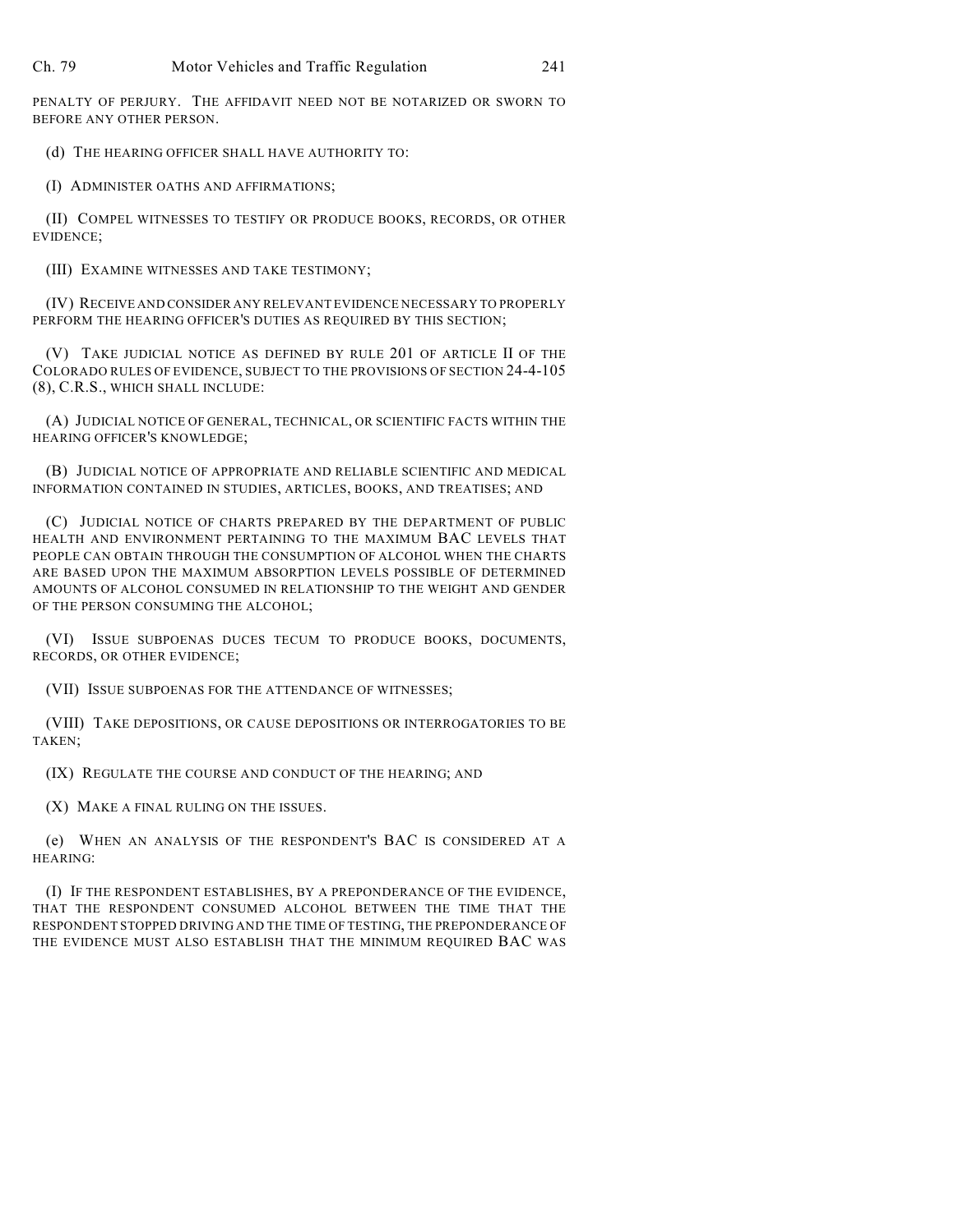PENALTY OF PERJURY. THE AFFIDAVIT NEED NOT BE NOTARIZED OR SWORN TO BEFORE ANY OTHER PERSON.

(d) THE HEARING OFFICER SHALL HAVE AUTHORITY TO:

(I) ADMINISTER OATHS AND AFFIRMATIONS;

(II) COMPEL WITNESSES TO TESTIFY OR PRODUCE BOOKS, RECORDS, OR OTHER EVIDENCE;

(III) EXAMINE WITNESSES AND TAKE TESTIMONY;

(IV) RECEIVE AND CONSIDER ANY RELEVANT EVIDENCE NECESSARY TO PROPERLY PERFORM THE HEARING OFFICER'S DUTIES AS REQUIRED BY THIS SECTION;

(V) TAKE JUDICIAL NOTICE AS DEFINED BY RULE 201 OF ARTICLE II OF THE COLORADO RULES OF EVIDENCE, SUBJECT TO THE PROVISIONS OF SECTION 24-4-105 (8), C.R.S., WHICH SHALL INCLUDE:

(A) JUDICIAL NOTICE OF GENERAL, TECHNICAL, OR SCIENTIFIC FACTS WITHIN THE HEARING OFFICER'S KNOWLEDGE;

(B) JUDICIAL NOTICE OF APPROPRIATE AND RELIABLE SCIENTIFIC AND MEDICAL INFORMATION CONTAINED IN STUDIES, ARTICLES, BOOKS, AND TREATISES; AND

(C) JUDICIAL NOTICE OF CHARTS PREPARED BY THE DEPARTMENT OF PUBLIC HEALTH AND ENVIRONMENT PERTAINING TO THE MAXIMUM BAC LEVELS THAT PEOPLE CAN OBTAIN THROUGH THE CONSUMPTION OF ALCOHOL WHEN THE CHARTS ARE BASED UPON THE MAXIMUM ABSORPTION LEVELS POSSIBLE OF DETERMINED AMOUNTS OF ALCOHOL CONSUMED IN RELATIONSHIP TO THE WEIGHT AND GENDER OF THE PERSON CONSUMING THE ALCOHOL;

(VI) ISSUE SUBPOENAS DUCES TECUM TO PRODUCE BOOKS, DOCUMENTS, RECORDS, OR OTHER EVIDENCE;

(VII) ISSUE SUBPOENAS FOR THE ATTENDANCE OF WITNESSES;

(VIII) TAKE DEPOSITIONS, OR CAUSE DEPOSITIONS OR INTERROGATORIES TO BE TAKEN;

(IX) REGULATE THE COURSE AND CONDUCT OF THE HEARING; AND

(X) MAKE A FINAL RULING ON THE ISSUES.

(e) WHEN AN ANALYSIS OF THE RESPONDENT'S BAC IS CONSIDERED AT A HEARING:

(I) IF THE RESPONDENT ESTABLISHES, BY A PREPONDERANCE OF THE EVIDENCE, THAT THE RESPONDENT CONSUMED ALCOHOL BETWEEN THE TIME THAT THE RESPONDENT STOPPED DRIVING AND THE TIME OF TESTING, THE PREPONDERANCE OF THE EVIDENCE MUST ALSO ESTABLISH THAT THE MINIMUM REQUIRED BAC WAS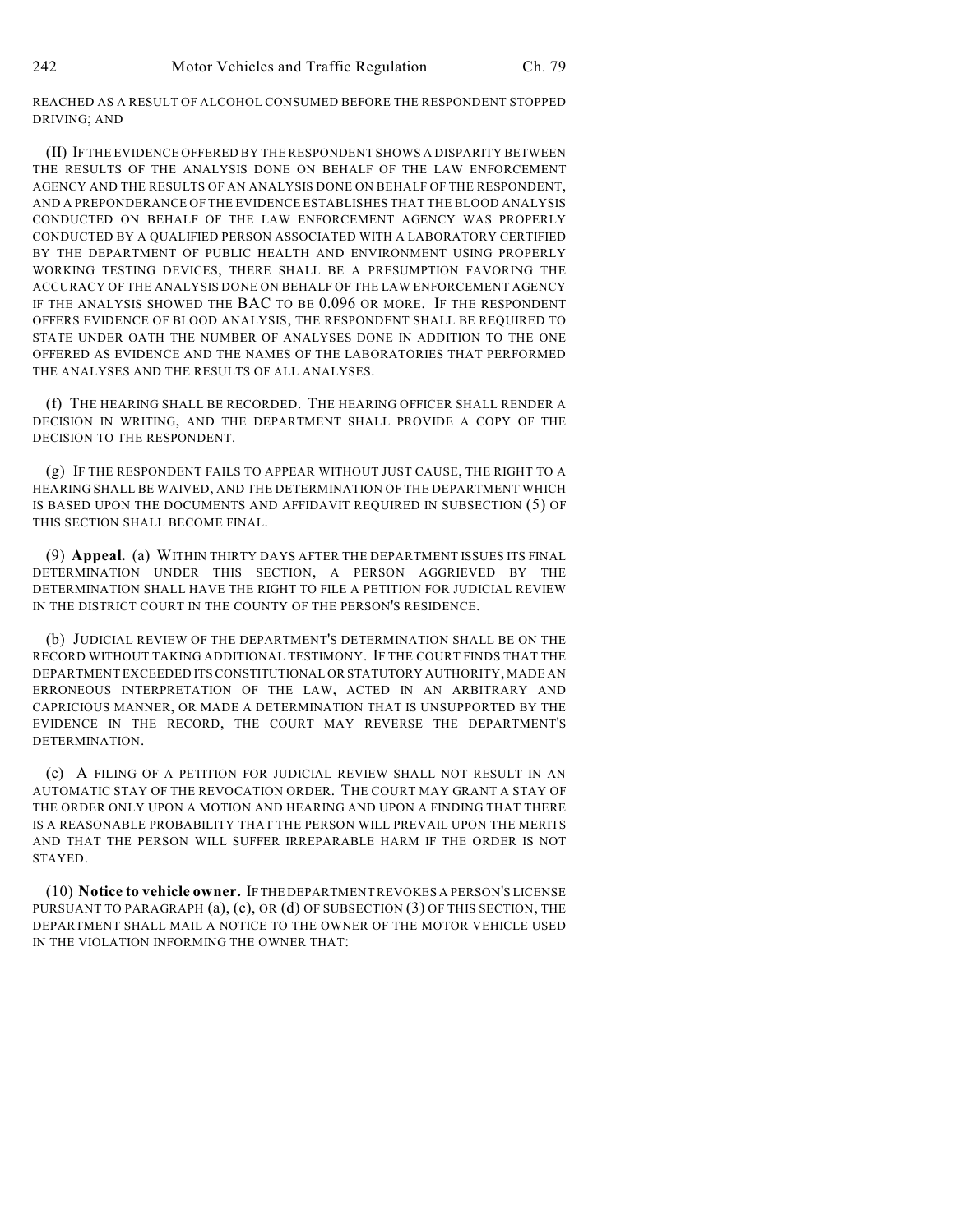REACHED AS A RESULT OF ALCOHOL CONSUMED BEFORE THE RESPONDENT STOPPED DRIVING; AND

(II) IF THE EVIDENCE OFFERED BY THE RESPONDENT SHOWS A DISPARITY BETWEEN THE RESULTS OF THE ANALYSIS DONE ON BEHALF OF THE LAW ENFORCEMENT AGENCY AND THE RESULTS OF AN ANALYSIS DONE ON BEHALF OF THE RESPONDENT, AND A PREPONDERANCE OF THE EVIDENCE ESTABLISHES THAT THE BLOOD ANALYSIS CONDUCTED ON BEHALF OF THE LAW ENFORCEMENT AGENCY WAS PROPERLY CONDUCTED BY A QUALIFIED PERSON ASSOCIATED WITH A LABORATORY CERTIFIED BY THE DEPARTMENT OF PUBLIC HEALTH AND ENVIRONMENT USING PROPERLY WORKING TESTING DEVICES, THERE SHALL BE A PRESUMPTION FAVORING THE ACCURACY OF THE ANALYSIS DONE ON BEHALF OF THE LAW ENFORCEMENT AGENCY IF THE ANALYSIS SHOWED THE BAC TO BE 0.096 OR MORE. IF THE RESPONDENT OFFERS EVIDENCE OF BLOOD ANALYSIS, THE RESPONDENT SHALL BE REQUIRED TO STATE UNDER OATH THE NUMBER OF ANALYSES DONE IN ADDITION TO THE ONE OFFERED AS EVIDENCE AND THE NAMES OF THE LABORATORIES THAT PERFORMED THE ANALYSES AND THE RESULTS OF ALL ANALYSES.

(f) THE HEARING SHALL BE RECORDED. THE HEARING OFFICER SHALL RENDER A DECISION IN WRITING, AND THE DEPARTMENT SHALL PROVIDE A COPY OF THE DECISION TO THE RESPONDENT.

(g) IF THE RESPONDENT FAILS TO APPEAR WITHOUT JUST CAUSE, THE RIGHT TO A HEARING SHALL BE WAIVED, AND THE DETERMINATION OF THE DEPARTMENT WHICH IS BASED UPON THE DOCUMENTS AND AFFIDAVIT REQUIRED IN SUBSECTION (5) OF THIS SECTION SHALL BECOME FINAL.

(9) **Appeal.** (a) WITHIN THIRTY DAYS AFTER THE DEPARTMENT ISSUES ITS FINAL DETERMINATION UNDER THIS SECTION, A PERSON AGGRIEVED BY THE DETERMINATION SHALL HAVE THE RIGHT TO FILE A PETITION FOR JUDICIAL REVIEW IN THE DISTRICT COURT IN THE COUNTY OF THE PERSON'S RESIDENCE.

(b) JUDICIAL REVIEW OF THE DEPARTMENT'S DETERMINATION SHALL BE ON THE RECORD WITHOUT TAKING ADDITIONAL TESTIMONY. IF THE COURT FINDS THAT THE DEPARTMENT EXCEEDED ITS CONSTITUTIONAL OR STATUTORY AUTHORITY, MADE AN ERRONEOUS INTERPRETATION OF THE LAW, ACTED IN AN ARBITRARY AND CAPRICIOUS MANNER, OR MADE A DETERMINATION THAT IS UNSUPPORTED BY THE EVIDENCE IN THE RECORD, THE COURT MAY REVERSE THE DEPARTMENT'S DETERMINATION.

(c) A FILING OF A PETITION FOR JUDICIAL REVIEW SHALL NOT RESULT IN AN AUTOMATIC STAY OF THE REVOCATION ORDER. THE COURT MAY GRANT A STAY OF THE ORDER ONLY UPON A MOTION AND HEARING AND UPON A FINDING THAT THERE IS A REASONABLE PROBABILITY THAT THE PERSON WILL PREVAIL UPON THE MERITS AND THAT THE PERSON WILL SUFFER IRREPARABLE HARM IF THE ORDER IS NOT STAYED.

(10) **Notice to vehicle owner.** IF THE DEPARTMENT REVOKES A PERSON'S LICENSE PURSUANT TO PARAGRAPH (a), (c), OR (d) OF SUBSECTION (3) OF THIS SECTION, THE DEPARTMENT SHALL MAIL A NOTICE TO THE OWNER OF THE MOTOR VEHICLE USED IN THE VIOLATION INFORMING THE OWNER THAT: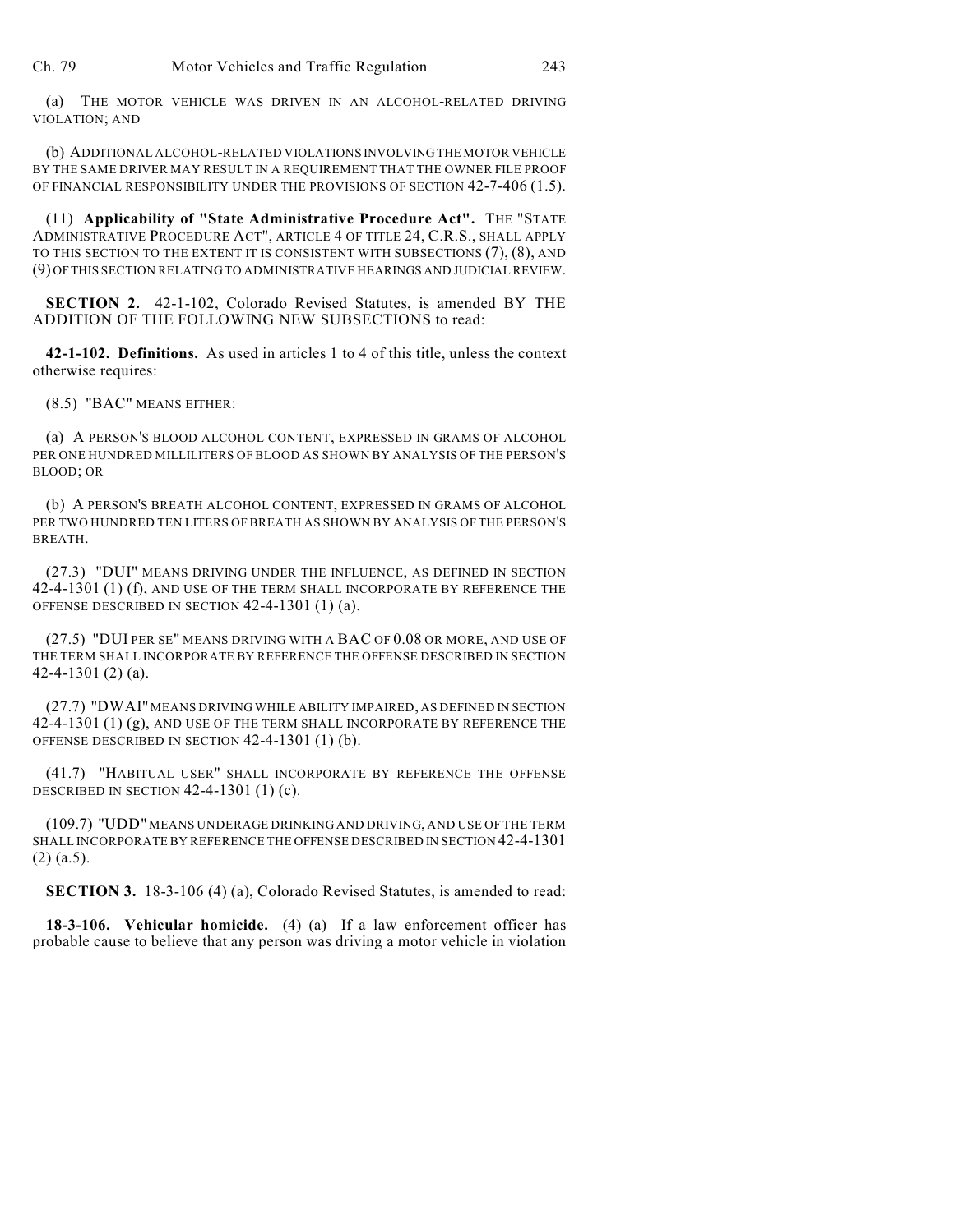(a) THE MOTOR VEHICLE WAS DRIVEN IN AN ALCOHOL-RELATED DRIVING VIOLATION; AND

(b) ADDITIONAL ALCOHOL-RELATED VIOLATIONS INVOLVING THE MOTOR VEHICLE BY THE SAME DRIVER MAY RESULT IN A REQUIREMENT THAT THE OWNER FILE PROOF OF FINANCIAL RESPONSIBILITY UNDER THE PROVISIONS OF SECTION 42-7-406 (1.5).

(11) **Applicability of "State Administrative Procedure Act".** THE "STATE ADMINISTRATIVE PROCEDURE ACT", ARTICLE 4 OF TITLE 24, C.R.S., SHALL APPLY TO THIS SECTION TO THE EXTENT IT IS CONSISTENT WITH SUBSECTIONS (7), (8), AND (9) OF THIS SECTION RELATING TO ADMINISTRATIVE HEARINGS AND JUDICIAL REVIEW.

**SECTION 2.** 42-1-102, Colorado Revised Statutes, is amended BY THE ADDITION OF THE FOLLOWING NEW SUBSECTIONS to read:

**42-1-102. Definitions.** As used in articles 1 to 4 of this title, unless the context otherwise requires:

(8.5) "BAC" MEANS EITHER:

(a) A PERSON'S BLOOD ALCOHOL CONTENT, EXPRESSED IN GRAMS OF ALCOHOL PER ONE HUNDRED MILLILITERS OF BLOOD AS SHOWN BY ANALYSIS OF THE PERSON'S BLOOD; OR

(b) A PERSON'S BREATH ALCOHOL CONTENT, EXPRESSED IN GRAMS OF ALCOHOL PER TWO HUNDRED TEN LITERS OF BREATH AS SHOWN BY ANALYSIS OF THE PERSON'S BREATH.

(27.3) "DUI" MEANS DRIVING UNDER THE INFLUENCE, AS DEFINED IN SECTION 42-4-1301 (1) (f), AND USE OF THE TERM SHALL INCORPORATE BY REFERENCE THE OFFENSE DESCRIBED IN SECTION 42-4-1301 (1) (a).

(27.5) "DUI PER SE" MEANS DRIVING WITH A BAC OF 0.08 OR MORE, AND USE OF THE TERM SHALL INCORPORATE BY REFERENCE THE OFFENSE DESCRIBED IN SECTION 42-4-1301 (2) (a).

(27.7) "DWAI" MEANS DRIVING WHILE ABILITY IMPAIRED, AS DEFINED IN SECTION 42-4-1301 (1) (g), AND USE OF THE TERM SHALL INCORPORATE BY REFERENCE THE OFFENSE DESCRIBED IN SECTION 42-4-1301 (1) (b).

(41.7) "HABITUAL USER" SHALL INCORPORATE BY REFERENCE THE OFFENSE DESCRIBED IN SECTION 42-4-1301 (1) (c).

(109.7) "UDD" MEANS UNDERAGE DRINKING AND DRIVING, AND USE OF THE TERM SHALL INCORPORATE BY REFERENCE THE OFFENSE DESCRIBED IN SECTION 42-4-1301 (2) (a.5).

**SECTION 3.** 18-3-106 (4) (a), Colorado Revised Statutes, is amended to read:

**18-3-106. Vehicular homicide.** (4) (a) If a law enforcement officer has probable cause to believe that any person was driving a motor vehicle in violation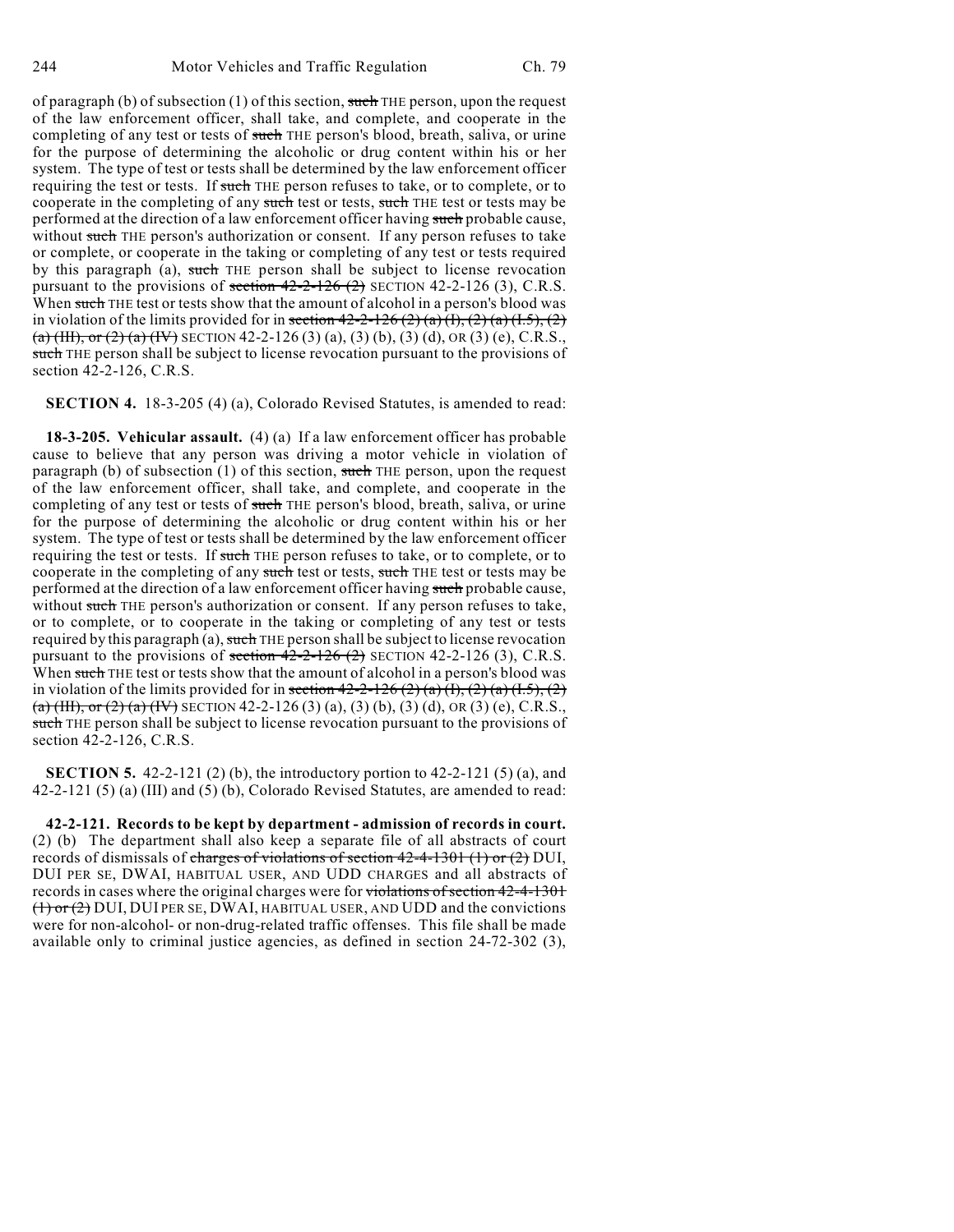of paragraph (b) of subsection (1) of this section, such THE person, upon the request of the law enforcement officer, shall take, and complete, and cooperate in the completing of any test or tests of such THE person's blood, breath, saliva, or urine for the purpose of determining the alcoholic or drug content within his or her system. The type of test or tests shall be determined by the law enforcement officer requiring the test or tests. If such THE person refuses to take, or to complete, or to cooperate in the completing of any such test or tests, such THE test or tests may be performed at the direction of a law enforcement officer having such probable cause, without such THE person's authorization or consent. If any person refuses to take or complete, or cooperate in the taking or completing of any test or tests required by this paragraph (a), such THE person shall be subject to license revocation pursuant to the provisions of section  $42-2-126$  (2) SECTION 42-2-126 (3), C.R.S. When such THE test or tests show that the amount of alcohol in a person's blood was in violation of the limits provided for in section  $42-2-126(2)(a)(1), (2)(a)(1.5), (2)$ (a) (HI), or (2) (a) (IV) SECTION 42-2-126 (3) (a), (3) (b), (3) (d), OR (3) (e), C.R.S., such THE person shall be subject to license revocation pursuant to the provisions of section 42-2-126, C.R.S.

**SECTION 4.** 18-3-205 (4) (a), Colorado Revised Statutes, is amended to read:

**18-3-205. Vehicular assault.** (4) (a) If a law enforcement officer has probable cause to believe that any person was driving a motor vehicle in violation of paragraph (b) of subsection  $(1)$  of this section, such THE person, upon the request of the law enforcement officer, shall take, and complete, and cooperate in the completing of any test or tests of such THE person's blood, breath, saliva, or urine for the purpose of determining the alcoholic or drug content within his or her system. The type of test or tests shall be determined by the law enforcement officer requiring the test or tests. If such THE person refuses to take, or to complete, or to cooperate in the completing of any such test or tests, such THE test or tests may be performed at the direction of a law enforcement officer having such probable cause, without such THE person's authorization or consent. If any person refuses to take, or to complete, or to cooperate in the taking or completing of any test or tests required by this paragraph (a), such THE person shall be subject to license revocation pursuant to the provisions of section  $42-2-126$  (2) SECTION 42-2-126 (3), C.R.S. When such THE test or tests show that the amount of alcohol in a person's blood was in violation of the limits provided for in section  $42-2-126(2)(a)(1)$ ,  $(2)(a)(1.5)$ ,  $(2)$ (a) (III), or (2) (a) (IV) SECTION 42-2-126 (3) (a), (3) (b), (3) (d), OR (3) (e), C.R.S., such THE person shall be subject to license revocation pursuant to the provisions of section 42-2-126, C.R.S.

**SECTION 5.** 42-2-121 (2) (b), the introductory portion to 42-2-121 (5) (a), and 42-2-121 (5) (a) (III) and (5) (b), Colorado Revised Statutes, are amended to read:

**42-2-121. Records to be kept by department - admission of records in court.** (2) (b) The department shall also keep a separate file of all abstracts of court records of dismissals of charges of violations of section  $42-4-1301$  (1) or (2) DUI, DUI PER SE, DWAI, HABITUAL USER, AND UDD CHARGES and all abstracts of records in cases where the original charges were for violations of section 42-4-1301  $(1)$  or  $(2)$  DUI, DUI PER SE, DWAI, HABITUAL USER, AND UDD and the convictions were for non-alcohol- or non-drug-related traffic offenses. This file shall be made available only to criminal justice agencies, as defined in section 24-72-302 (3),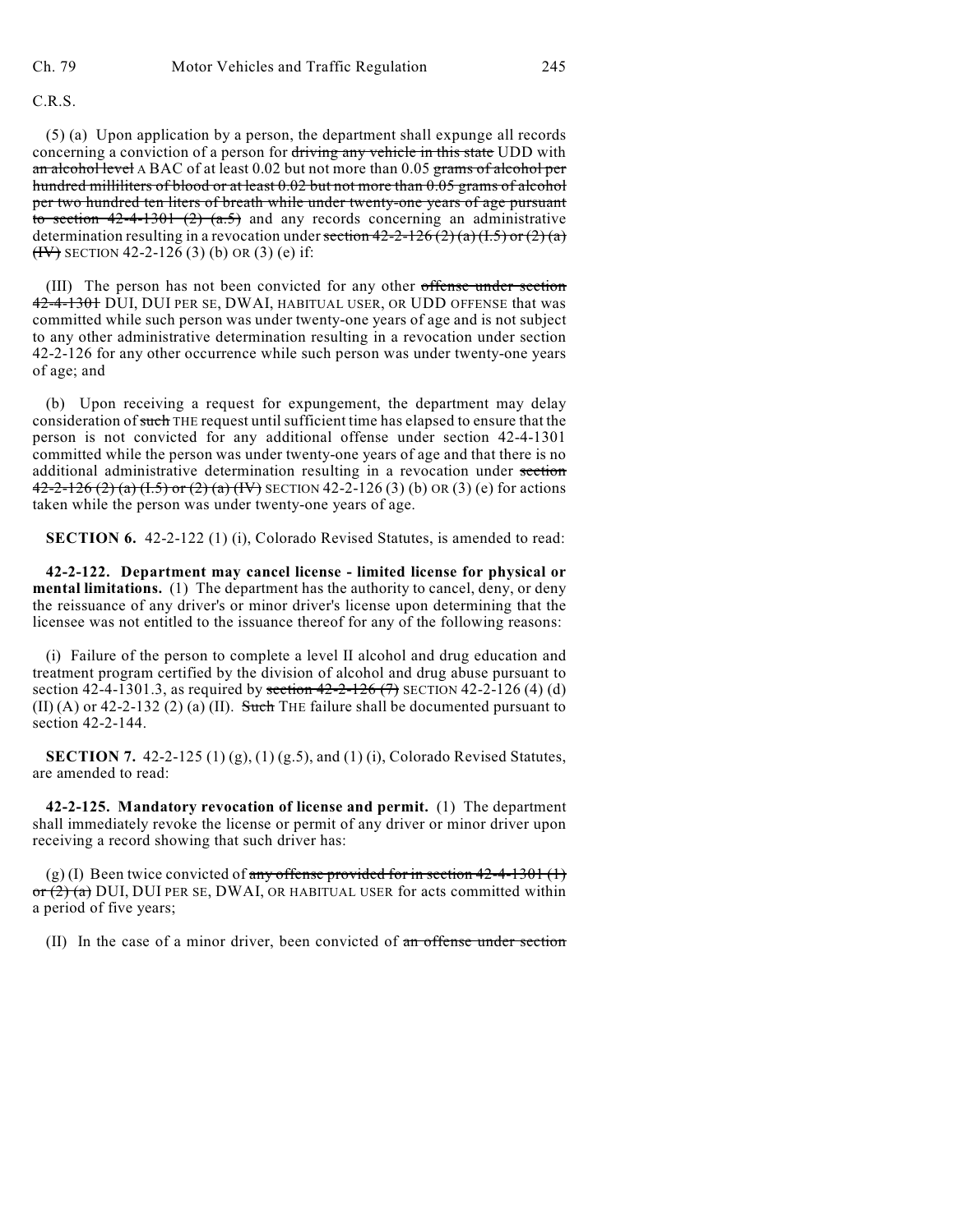C.R.S.

(5) (a) Upon application by a person, the department shall expunge all records concerning a conviction of a person for driving any vehicle in this state UDD with an alcohol level A BAC of at least 0.02 but not more than 0.05 grams of alcohol per hundred milliliters of blood or at least 0.02 but not more than 0.05 grams of alcohol per two hundred ten liters of breath while under twenty-one years of age pursuant to section  $42-4-1301$   $(2)$   $(a.5)$  and any records concerning an administrative determination resulting in a revocation under section  $42-2-126(2)(a)(1.5)$  or  $(2)(a)$  $(HV)$  SECTION 42-2-126 (3) (b) OR (3) (e) if:

(III) The person has not been convicted for any other offense under section 42-4-1301 DUI, DUI PER SE, DWAI, HABITUAL USER, OR UDD OFFENSE that was committed while such person was under twenty-one years of age and is not subject to any other administrative determination resulting in a revocation under section 42-2-126 for any other occurrence while such person was under twenty-one years of age; and

(b) Upon receiving a request for expungement, the department may delay consideration of such THE request until sufficient time has elapsed to ensure that the person is not convicted for any additional offense under section 42-4-1301 committed while the person was under twenty-one years of age and that there is no additional administrative determination resulting in a revocation under section 42-2-126 (2) (a) (1.5) or (2) (a) (IV) SECTION 42-2-126 (3) (b) OR (3) (e) for actions taken while the person was under twenty-one years of age.

**SECTION 6.** 42-2-122 (1) (i), Colorado Revised Statutes, is amended to read:

**42-2-122. Department may cancel license - limited license for physical or mental limitations.** (1) The department has the authority to cancel, deny, or deny the reissuance of any driver's or minor driver's license upon determining that the licensee was not entitled to the issuance thereof for any of the following reasons:

(i) Failure of the person to complete a level II alcohol and drug education and treatment program certified by the division of alcohol and drug abuse pursuant to section 42-4-1301.3, as required by section  $42-2-126$  (7) SECTION 42-2-126 (4) (d) (II) (A) or 42-2-132 (2) (a) (II). Such THE failure shall be documented pursuant to section 42-2-144.

**SECTION 7.** 42-2-125 (1) (g), (1) (g.5), and (1) (i), Colorado Revised Statutes, are amended to read:

**42-2-125. Mandatory revocation of license and permit.** (1) The department shall immediately revoke the license or permit of any driver or minor driver upon receiving a record showing that such driver has:

(g) (I) Been twice convicted of any offense provided for in section  $42-4-1301$  (1)  $\sigma$   $(2)$  (a) DUI, DUI PER SE, DWAI, OR HABITUAL USER for acts committed within a period of five years;

(II) In the case of a minor driver, been convicted of an offense under section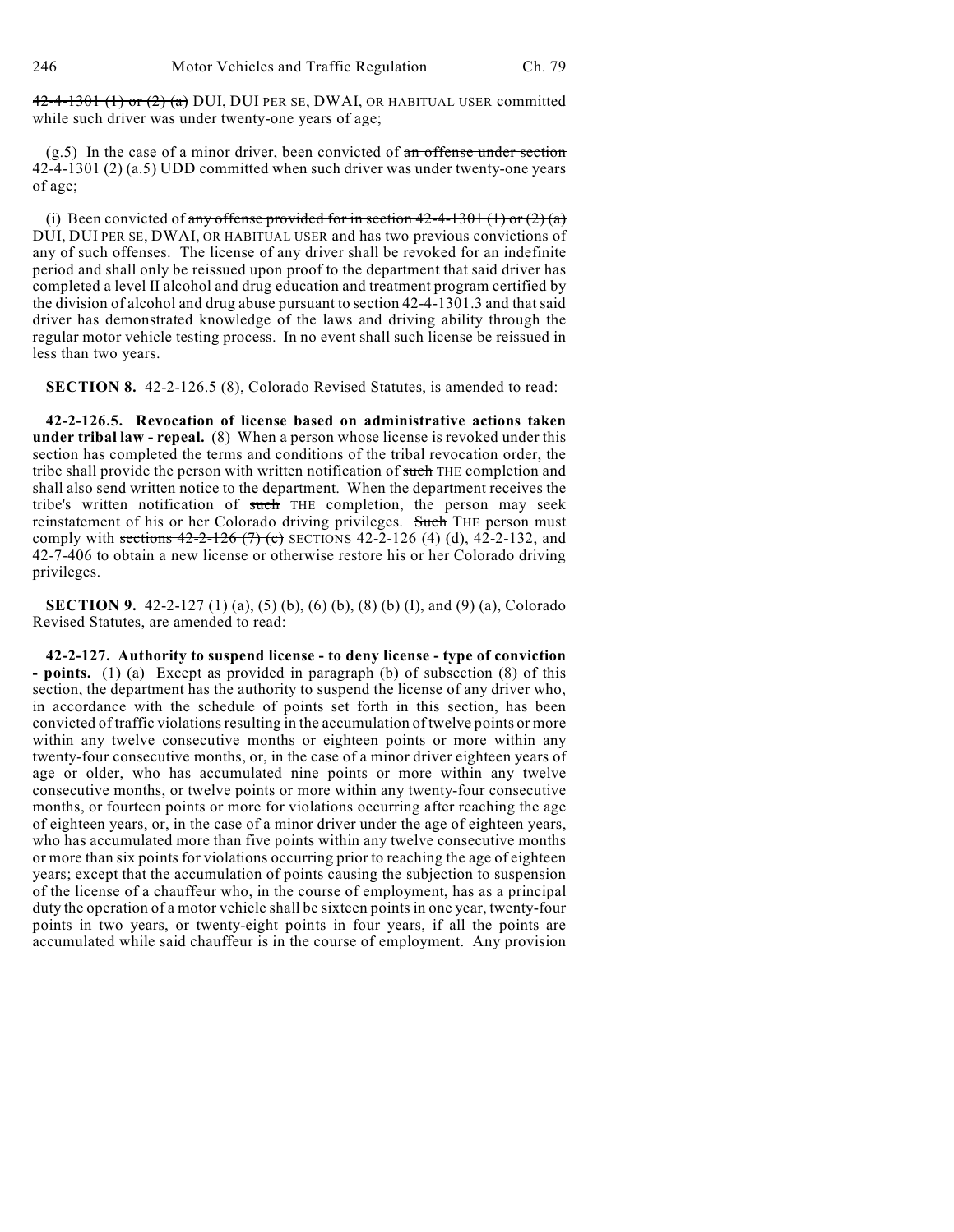$42-4-1301$  (1) or  $(2)$  (a) DUI, DUI PER SE, DWAI, OR HABITUAL USER committed while such driver was under twenty-one years of age;

 $(g.5)$  In the case of a minor driver, been convicted of an offense under section  $42-4-1301(2)(a.5)$  UDD committed when such driver was under twenty-one years of age;

(i) Been convicted of any offense provided for in section  $42-4-1301$  (1) or  $(2)(a)$ DUI, DUI PER SE, DWAI, OR HABITUAL USER and has two previous convictions of any of such offenses. The license of any driver shall be revoked for an indefinite period and shall only be reissued upon proof to the department that said driver has completed a level II alcohol and drug education and treatment program certified by the division of alcohol and drug abuse pursuant to section 42-4-1301.3 and that said driver has demonstrated knowledge of the laws and driving ability through the regular motor vehicle testing process. In no event shall such license be reissued in less than two years.

**SECTION 8.** 42-2-126.5 (8), Colorado Revised Statutes, is amended to read:

**42-2-126.5. Revocation of license based on administrative actions taken under tribal law - repeal.** (8) When a person whose license is revoked under this section has completed the terms and conditions of the tribal revocation order, the tribe shall provide the person with written notification of such THE completion and shall also send written notice to the department. When the department receives the tribe's written notification of such THE completion, the person may seek reinstatement of his or her Colorado driving privileges. Such THE person must comply with sections  $42-2-126$  (7) (c) SECTIONS 42-2-126 (4) (d), 42-2-132, and 42-7-406 to obtain a new license or otherwise restore his or her Colorado driving privileges.

**SECTION 9.** 42-2-127 (1) (a), (5) (b), (6) (b), (8) (b) (I), and (9) (a), Colorado Revised Statutes, are amended to read:

**42-2-127. Authority to suspend license - to deny license - type of conviction - points.** (1) (a) Except as provided in paragraph (b) of subsection (8) of this section, the department has the authority to suspend the license of any driver who, in accordance with the schedule of points set forth in this section, has been convicted of traffic violations resulting in the accumulation of twelve points or more within any twelve consecutive months or eighteen points or more within any twenty-four consecutive months, or, in the case of a minor driver eighteen years of age or older, who has accumulated nine points or more within any twelve consecutive months, or twelve points or more within any twenty-four consecutive months, or fourteen points or more for violations occurring after reaching the age of eighteen years, or, in the case of a minor driver under the age of eighteen years, who has accumulated more than five points within any twelve consecutive months or more than six points for violations occurring prior to reaching the age of eighteen years; except that the accumulation of points causing the subjection to suspension of the license of a chauffeur who, in the course of employment, has as a principal duty the operation of a motor vehicle shall be sixteen points in one year, twenty-four points in two years, or twenty-eight points in four years, if all the points are accumulated while said chauffeur is in the course of employment. Any provision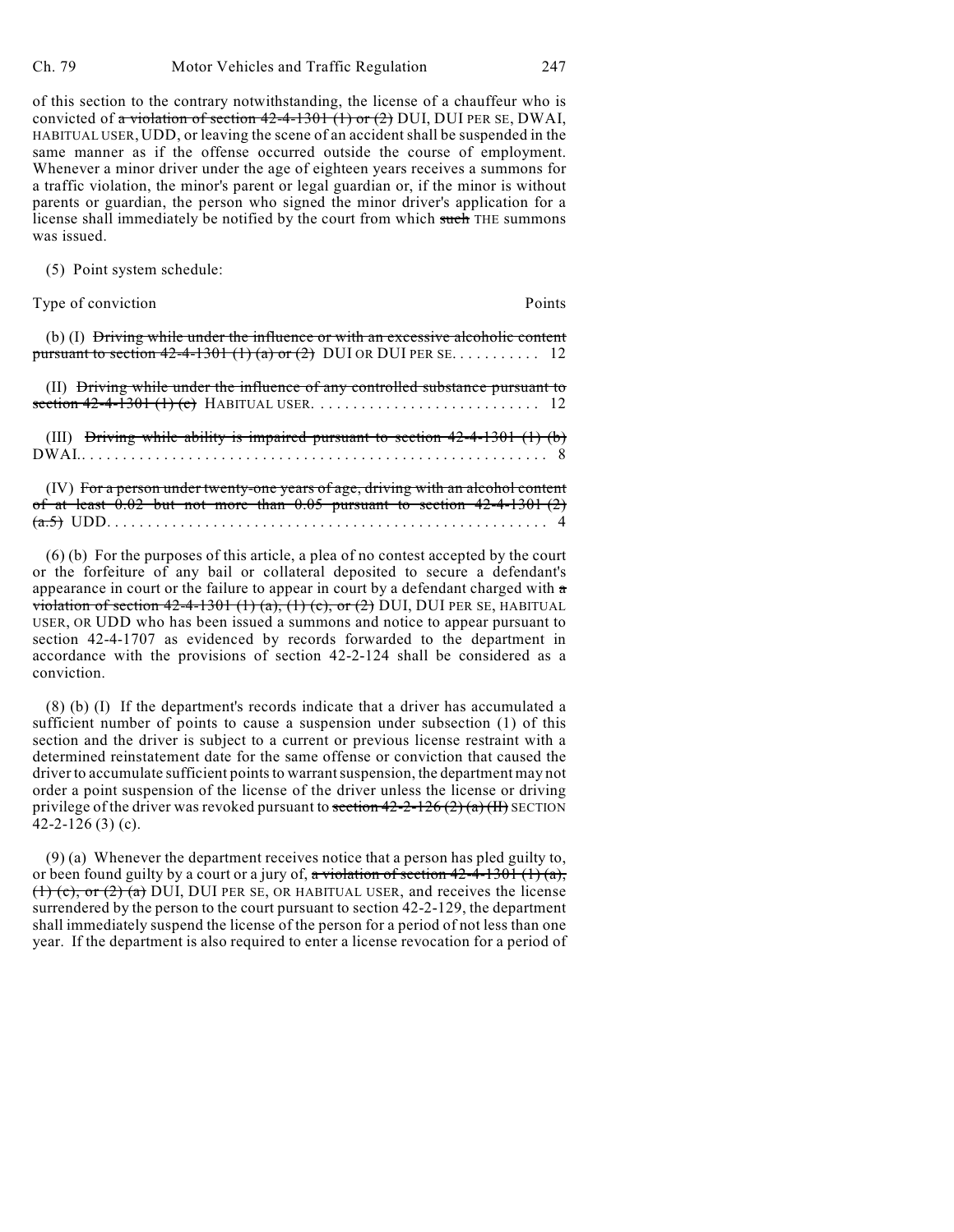of this section to the contrary notwithstanding, the license of a chauffeur who is convicted of a violation of section  $42-4-1301$  (1) or (2) DUI, DUI PER SE, DWAI, HABITUAL USER, UDD, or leaving the scene of an accident shall be suspended in the same manner as if the offense occurred outside the course of employment. Whenever a minor driver under the age of eighteen years receives a summons for a traffic violation, the minor's parent or legal guardian or, if the minor is without parents or guardian, the person who signed the minor driver's application for a license shall immediately be notified by the court from which such THE summons was issued.

(5) Point system schedule:

Type of conviction **Points** 

(b) (I) Driving while under the influence or with an excessive alcoholic content pursuant to section  $42-4-1301(1)(a)$  or  $(2)$  DUI OR DUI PER SE.......... 12

(II) Driving while under the influence of any controlled substance pursuant to section 42-4-1301 (1) (c) HABITUAL USER. .... .... .... .... .... .... ... 12 (III) Driving while ability is impaired pursuant to section  $42-4-1301$  (1) (b) DWAI..... .... .... .... .... .... .... .... .... .... .... .... .... .... . 8 (IV) For a person under twenty-one years of age, driving with an alcohol content of at least  $0.02$  but not more than  $0.05$  pursuant to section  $42-4-1301(2)$ 

(a.5) UDD. .... .... .... .... .... .... .... .... .... .... .... .... .... . 4

(6) (b) For the purposes of this article, a plea of no contest accepted by the court or the forfeiture of any bail or collateral deposited to secure a defendant's appearance in court or the failure to appear in court by a defendant charged with a violation of section  $42-4-1301$  (1) (a), (1) (c), or (2) DUI, DUI PER SE, HABITUAL USER, OR UDD who has been issued a summons and notice to appear pursuant to section 42-4-1707 as evidenced by records forwarded to the department in accordance with the provisions of section 42-2-124 shall be considered as a conviction.

(8) (b) (I) If the department's records indicate that a driver has accumulated a sufficient number of points to cause a suspension under subsection (1) of this section and the driver is subject to a current or previous license restraint with a determined reinstatement date for the same offense or conviction that caused the driver to accumulate sufficient points to warrant suspension, the department may not order a point suspension of the license of the driver unless the license or driving privilege of the driver was revoked pursuant to section  $42-2-126(2)(a)(H)$  SECTION 42-2-126 $(3)$  $(c)$ .

(9) (a) Whenever the department receives notice that a person has pled guilty to, or been found guilty by a court or a jury of, a violation of section  $42-4-1301$  (1) (a),  $(1)$  (c), or (2) (a) DUI, DUI PER SE, OR HABITUAL USER, and receives the license surrendered by the person to the court pursuant to section 42-2-129, the department shall immediately suspend the license of the person for a period of not less than one year. If the department is also required to enter a license revocation for a period of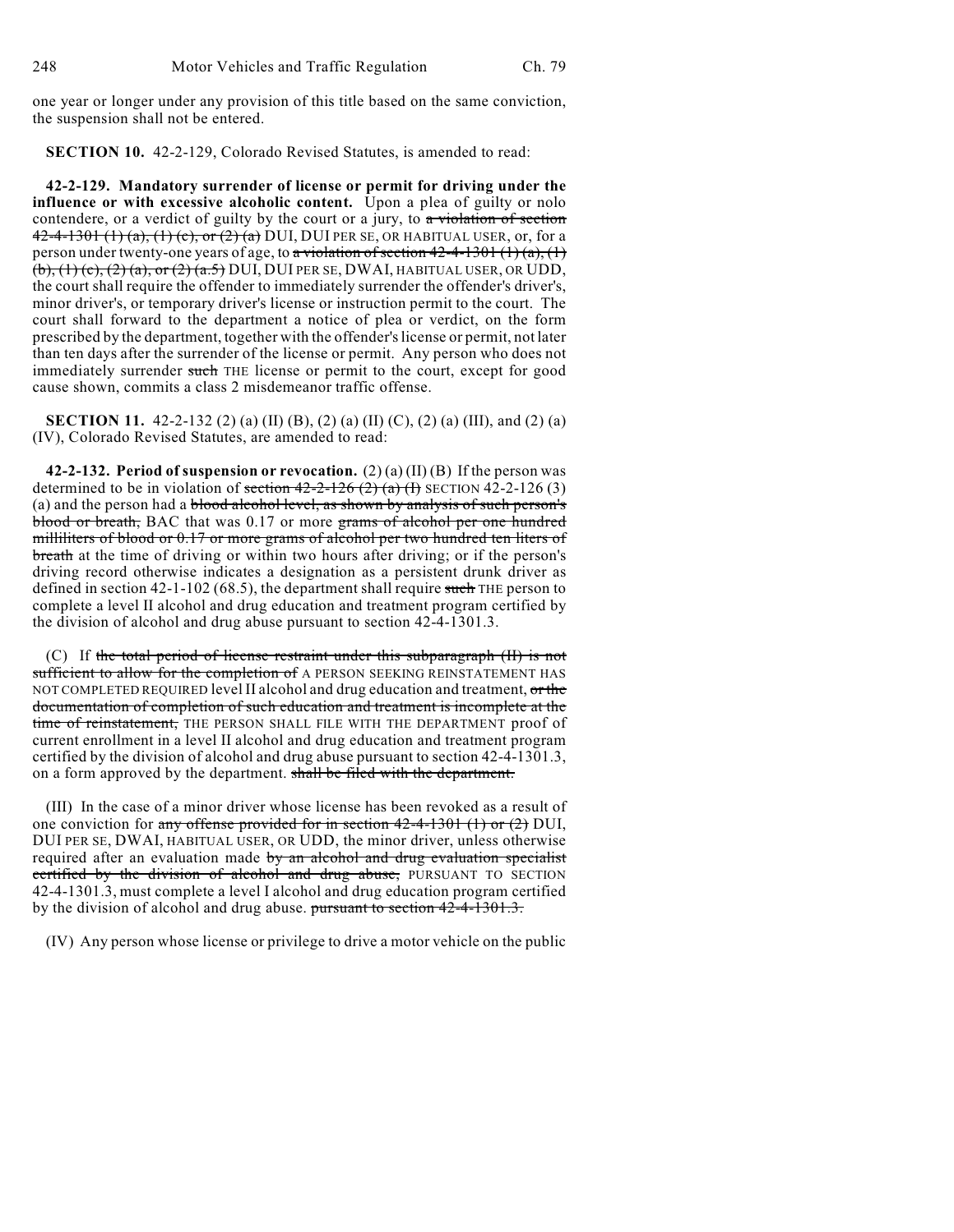one year or longer under any provision of this title based on the same conviction, the suspension shall not be entered.

**SECTION 10.** 42-2-129, Colorado Revised Statutes, is amended to read:

**42-2-129. Mandatory surrender of license or permit for driving under the influence or with excessive alcoholic content.** Upon a plea of guilty or nolo contendere, or a verdict of guilty by the court or a jury, to a violation of section 42-4-1301 (1) (a), (1) (c), or (2) (a) DUI, DUI PER SE, OR HABITUAL USER, or, for a person under twenty-one years of age, to a violation of section  $42-4-1301 (1)(a)$ ,  $(1)$  $(b)$ ,  $(1)(c)$ ,  $(2)(a)$ , or  $(2)(a.5)$  DUI, DUI PER SE, DWAI, HABITUAL USER, OR UDD, the court shall require the offender to immediately surrender the offender's driver's, minor driver's, or temporary driver's license or instruction permit to the court. The court shall forward to the department a notice of plea or verdict, on the form prescribed by the department, together with the offender's license or permit, not later than ten days after the surrender of the license or permit. Any person who does not immediately surrender such THE license or permit to the court, except for good cause shown, commits a class 2 misdemeanor traffic offense.

**SECTION 11.** 42-2-132 (2) (a) (II) (B), (2) (a) (II) (C), (2) (a) (III), and (2) (a) (IV), Colorado Revised Statutes, are amended to read:

**42-2-132. Period of suspension or revocation.** (2) (a) (II) (B) If the person was determined to be in violation of section  $42-2-126$   $(2)$   $(a)$   $(f)$  SECTION 42-2-126  $(3)$ (a) and the person had a blood alcohol level, as shown by analysis of such person's blood or breath, BAC that was 0.17 or more grams of alcohol per one hundred milliliters of blood or 0.17 or more grams of alcohol per two hundred ten liters of breath at the time of driving or within two hours after driving; or if the person's driving record otherwise indicates a designation as a persistent drunk driver as defined in section 42-1-102 (68.5), the department shall require such THE person to complete a level II alcohol and drug education and treatment program certified by the division of alcohol and drug abuse pursuant to section 42-4-1301.3.

(C) If the total period of license restraint under this subparagraph (II) is not sufficient to allow for the completion of A PERSON SEEKING REINSTATEMENT HAS NOT COMPLETED REQUIRED level II alcohol and drug education and treatment, or the documentation of completion of such education and treatment is incomplete at the time of reinstatement, THE PERSON SHALL FILE WITH THE DEPARTMENT proof of current enrollment in a level II alcohol and drug education and treatment program certified by the division of alcohol and drug abuse pursuant to section 42-4-1301.3, on a form approved by the department. shall be filed with the department.

(III) In the case of a minor driver whose license has been revoked as a result of one conviction for any offense provided for in section  $42-4-1301$  (1) or (2) DUI, DUI PER SE, DWAI, HABITUAL USER, OR UDD, the minor driver, unless otherwise required after an evaluation made by an alcohol and drug evaluation specialist certified by the division of alcohol and drug abuse, PURSUANT TO SECTION 42-4-1301.3, must complete a level I alcohol and drug education program certified by the division of alcohol and drug abuse. pursuant to section 42-4-1301.3.

(IV) Any person whose license or privilege to drive a motor vehicle on the public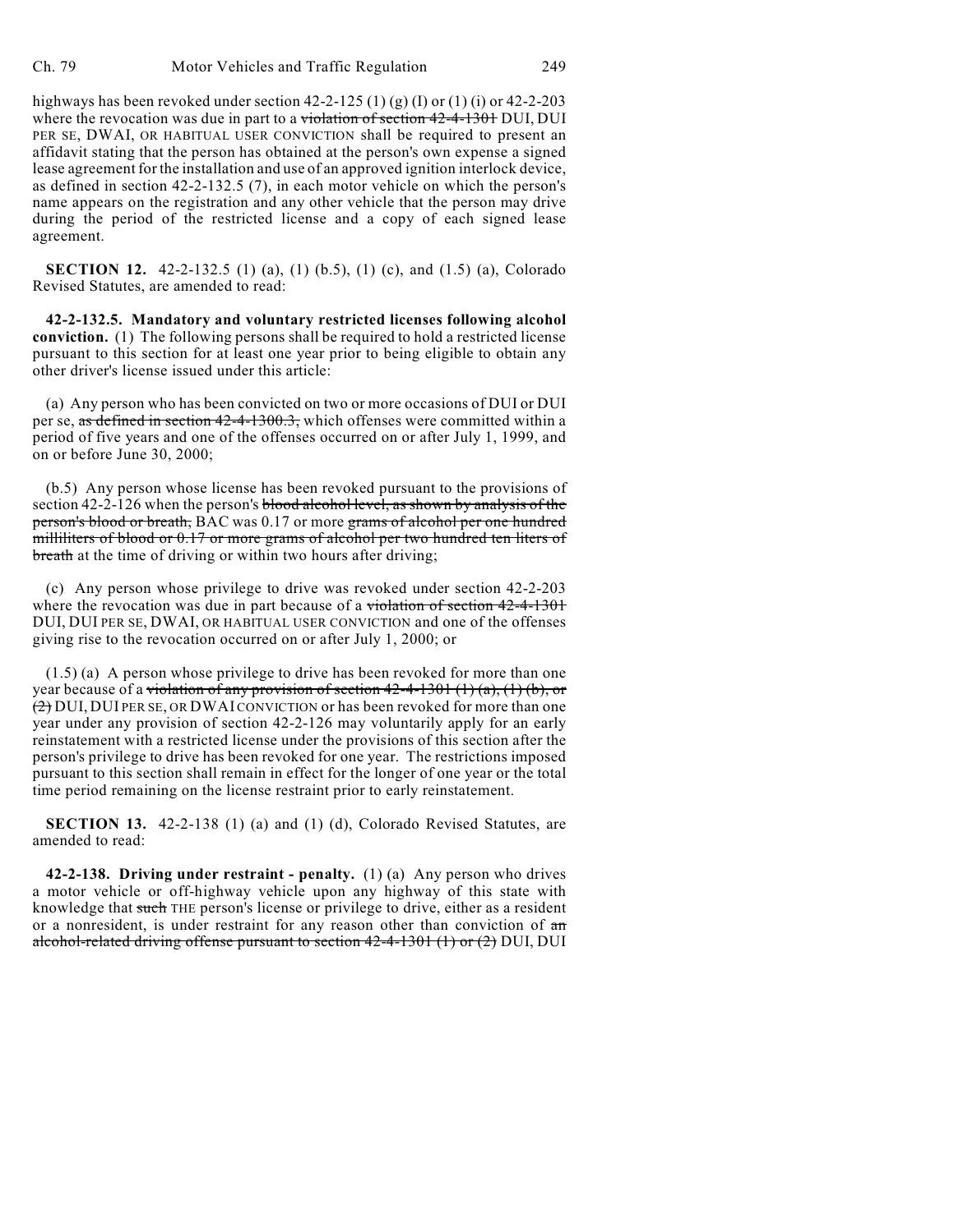highways has been revoked under section  $42-2-125$  (1) (g) (I) or (1) (i) or  $42-2-203$ where the revocation was due in part to a violation of section 42-4-130+ DUI, DUI PER SE, DWAI, OR HABITUAL USER CONVICTION shall be required to present an affidavit stating that the person has obtained at the person's own expense a signed lease agreement for the installation and use of an approved ignition interlock device, as defined in section 42-2-132.5 (7), in each motor vehicle on which the person's name appears on the registration and any other vehicle that the person may drive during the period of the restricted license and a copy of each signed lease agreement.

**SECTION 12.** 42-2-132.5 (1) (a), (1) (b.5), (1) (c), and (1.5) (a), Colorado Revised Statutes, are amended to read:

**42-2-132.5. Mandatory and voluntary restricted licenses following alcohol conviction.** (1) The following persons shall be required to hold a restricted license pursuant to this section for at least one year prior to being eligible to obtain any other driver's license issued under this article:

(a) Any person who has been convicted on two or more occasions of DUI or DUI per se, as defined in section 42-4-1300.3, which offenses were committed within a period of five years and one of the offenses occurred on or after July 1, 1999, and on or before June 30, 2000;

(b.5) Any person whose license has been revoked pursuant to the provisions of section 42-2-126 when the person's blood alcohol level, as shown by analysis of the person's blood or breath, BAC was 0.17 or more grams of alcohol per one hundred milliliters of blood or 0.17 or more grams of alcohol per two hundred ten liters of breath at the time of driving or within two hours after driving;

(c) Any person whose privilege to drive was revoked under section 42-2-203 where the revocation was due in part because of a violation of section 42-4-1301 DUI, DUI PER SE, DWAI, OR HABITUAL USER CONVICTION and one of the offenses giving rise to the revocation occurred on or after July 1, 2000; or

(1.5) (a) A person whose privilege to drive has been revoked for more than one year because of a violation of any provision of section  $42-4-1301$  (1) (a), (1) (b), or  $(2)$  DUI, DUI PER SE, OR DWAI CONVICTION or has been revoked for more than one year under any provision of section 42-2-126 may voluntarily apply for an early reinstatement with a restricted license under the provisions of this section after the person's privilege to drive has been revoked for one year. The restrictions imposed pursuant to this section shall remain in effect for the longer of one year or the total time period remaining on the license restraint prior to early reinstatement.

**SECTION 13.** 42-2-138 (1) (a) and (1) (d), Colorado Revised Statutes, are amended to read:

**42-2-138. Driving under restraint - penalty.** (1) (a) Any person who drives a motor vehicle or off-highway vehicle upon any highway of this state with knowledge that such THE person's license or privilege to drive, either as a resident or a nonresident, is under restraint for any reason other than conviction of an alcohol-related driving offense pursuant to section 42-4-1301 (1) or (2) DUI, DUI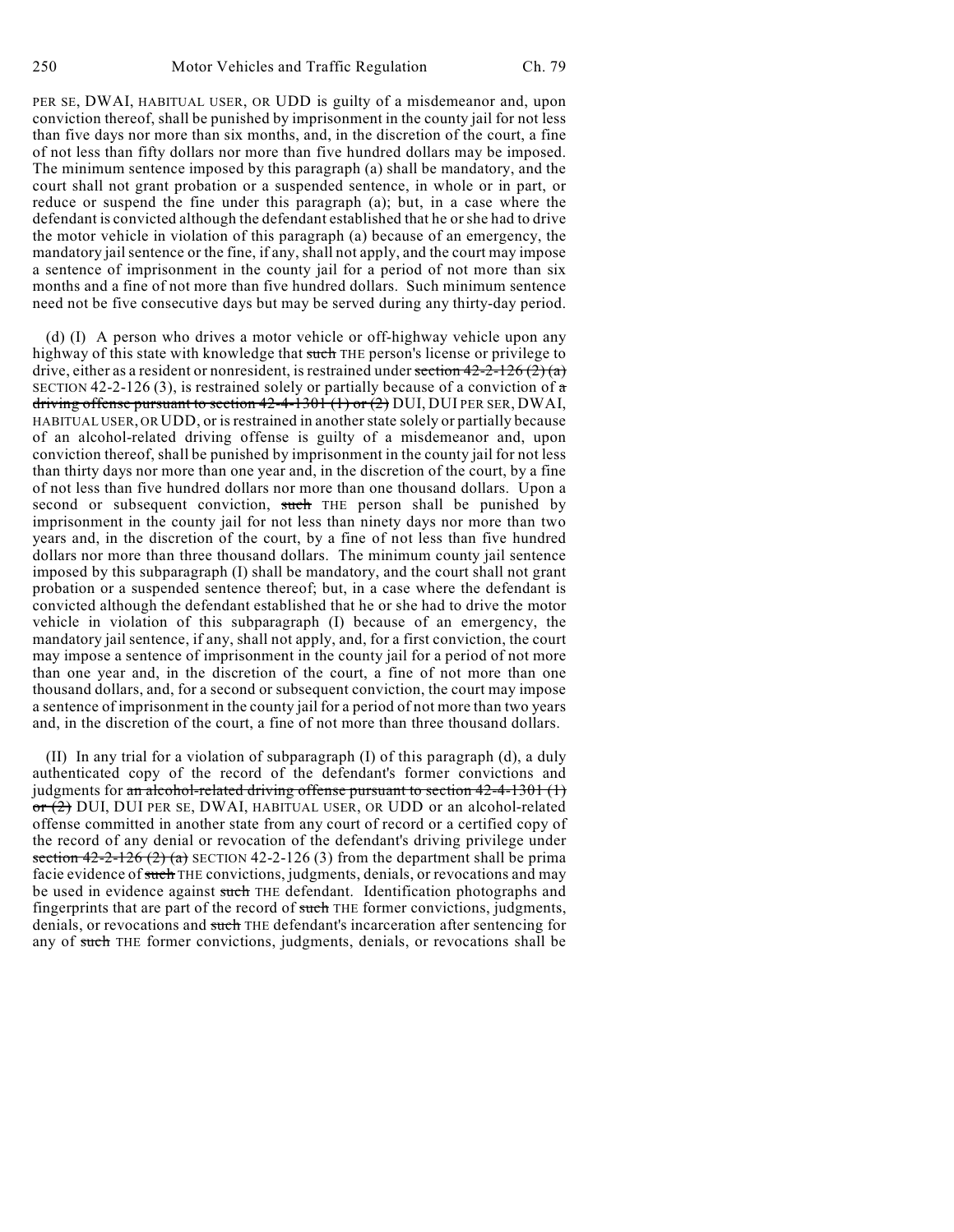PER SE, DWAI, HABITUAL USER, OR UDD is guilty of a misdemeanor and, upon conviction thereof, shall be punished by imprisonment in the county jail for not less than five days nor more than six months, and, in the discretion of the court, a fine of not less than fifty dollars nor more than five hundred dollars may be imposed. The minimum sentence imposed by this paragraph (a) shall be mandatory, and the court shall not grant probation or a suspended sentence, in whole or in part, or reduce or suspend the fine under this paragraph (a); but, in a case where the defendant is convicted although the defendant established that he or she had to drive the motor vehicle in violation of this paragraph (a) because of an emergency, the mandatory jail sentence or the fine, if any, shall not apply, and the court may impose a sentence of imprisonment in the county jail for a period of not more than six months and a fine of not more than five hundred dollars. Such minimum sentence need not be five consecutive days but may be served during any thirty-day period.

(d) (I) A person who drives a motor vehicle or off-highway vehicle upon any highway of this state with knowledge that such THE person's license or privilege to drive, either as a resident or nonresident, is restrained under section  $42-2-126(2)$  (a) SECTION 42-2-126 (3), is restrained solely or partially because of a conviction of  $\alpha$ driving offense pursuant to section  $42-4-1301$  (1) or (2) DUI, DUI PER SER, DWAI, HABITUAL USER, OR UDD, or is restrained in another state solely or partially because of an alcohol-related driving offense is guilty of a misdemeanor and, upon conviction thereof, shall be punished by imprisonment in the county jail for not less than thirty days nor more than one year and, in the discretion of the court, by a fine of not less than five hundred dollars nor more than one thousand dollars. Upon a second or subsequent conviction, such THE person shall be punished by imprisonment in the county jail for not less than ninety days nor more than two years and, in the discretion of the court, by a fine of not less than five hundred dollars nor more than three thousand dollars. The minimum county jail sentence imposed by this subparagraph (I) shall be mandatory, and the court shall not grant probation or a suspended sentence thereof; but, in a case where the defendant is convicted although the defendant established that he or she had to drive the motor vehicle in violation of this subparagraph (I) because of an emergency, the mandatory jail sentence, if any, shall not apply, and, for a first conviction, the court may impose a sentence of imprisonment in the county jail for a period of not more than one year and, in the discretion of the court, a fine of not more than one thousand dollars, and, for a second or subsequent conviction, the court may impose a sentence of imprisonment in the county jail for a period of not more than two years and, in the discretion of the court, a fine of not more than three thousand dollars.

(II) In any trial for a violation of subparagraph (I) of this paragraph (d), a duly authenticated copy of the record of the defendant's former convictions and judgments for an alcohol-related driving offense pursuant to section 42-4-1301 (1) or (2) DUI, DUI PER SE, DWAI, HABITUAL USER, OR UDD or an alcohol-related offense committed in another state from any court of record or a certified copy of the record of any denial or revocation of the defendant's driving privilege under section  $42-2-126$  (2) (a) SECTION 42-2-126 (3) from the department shall be prima facie evidence of such THE convictions, judgments, denials, or revocations and may be used in evidence against such THE defendant. Identification photographs and fingerprints that are part of the record of such THE former convictions, judgments, denials, or revocations and such THE defendant's incarceration after sentencing for any of such THE former convictions, judgments, denials, or revocations shall be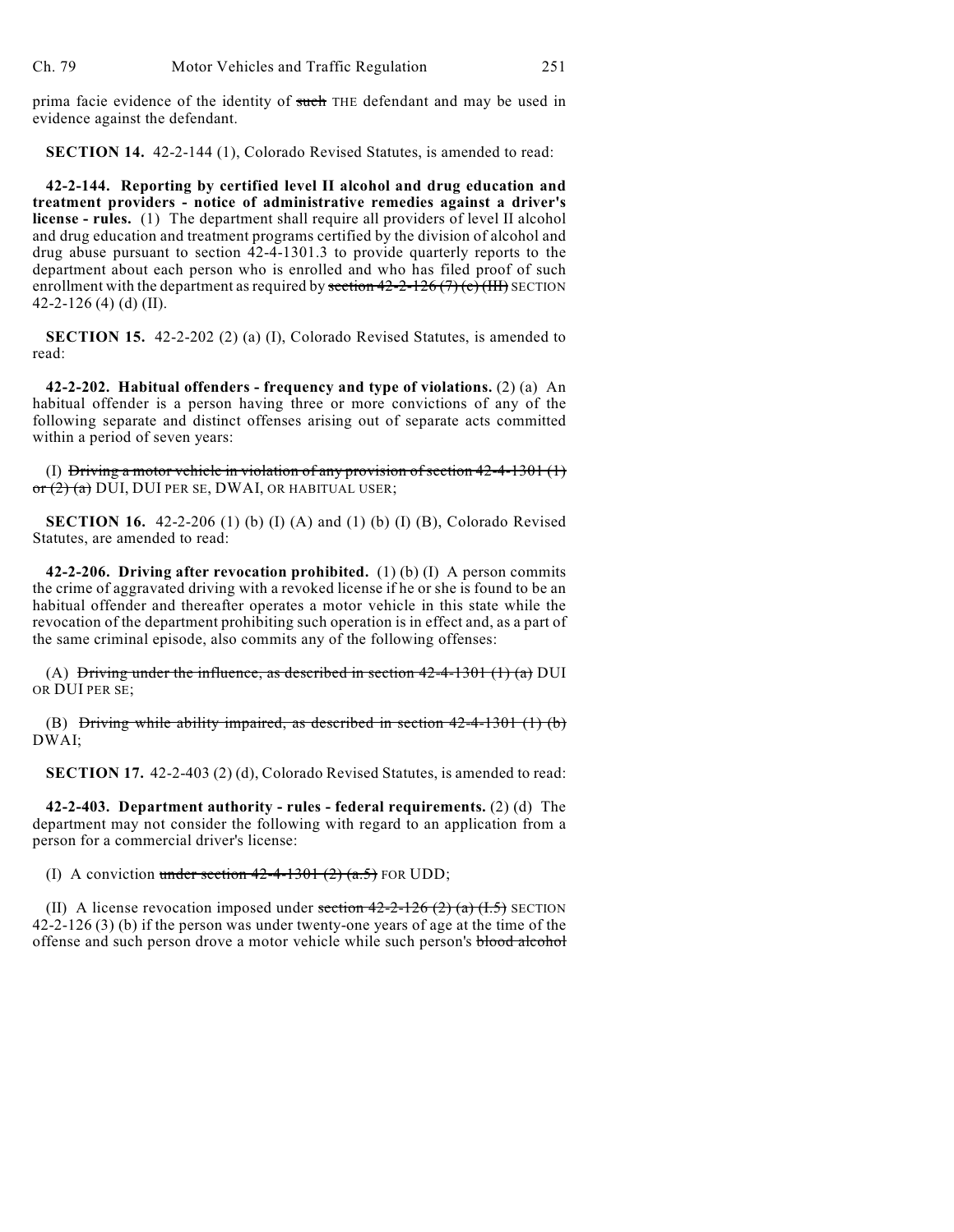prima facie evidence of the identity of such THE defendant and may be used in evidence against the defendant.

**SECTION 14.** 42-2-144 (1), Colorado Revised Statutes, is amended to read:

**42-2-144. Reporting by certified level II alcohol and drug education and treatment providers - notice of administrative remedies against a driver's license - rules.** (1) The department shall require all providers of level II alcohol and drug education and treatment programs certified by the division of alcohol and drug abuse pursuant to section 42-4-1301.3 to provide quarterly reports to the department about each person who is enrolled and who has filed proof of such enrollment with the department as required by section  $42-2-126(7)$  (c) (HH) SECTION 42-2-126 (4) (d) (II).

**SECTION 15.** 42-2-202 (2) (a) (I), Colorado Revised Statutes, is amended to read:

**42-2-202. Habitual offenders - frequency and type of violations.** (2) (a) An habitual offender is a person having three or more convictions of any of the following separate and distinct offenses arising out of separate acts committed within a period of seven years:

(I) Driving a motor vehicle in violation of any provision of section  $42-4-1301$  (1)  $\sigma$   $(2)$   $(a)$  DUI, DUI PER SE, DWAI, OR HABITUAL USER;

**SECTION 16.** 42-2-206 (1) (b) (I) (A) and (1) (b) (I) (B), Colorado Revised Statutes, are amended to read:

**42-2-206. Driving after revocation prohibited.** (1) (b) (I) A person commits the crime of aggravated driving with a revoked license if he or she is found to be an habitual offender and thereafter operates a motor vehicle in this state while the revocation of the department prohibiting such operation is in effect and, as a part of the same criminal episode, also commits any of the following offenses:

(A) Driving under the influence, as described in section  $42-4-1301$  (1) (a) DUI OR DUI PER SE;

(B) Driving while ability impaired, as described in section  $42-4-1301$  (1) (b) DWAI;

**SECTION 17.** 42-2-403 (2) (d), Colorado Revised Statutes, is amended to read:

**42-2-403. Department authority - rules - federal requirements.** (2) (d) The department may not consider the following with regard to an application from a person for a commercial driver's license:

(I) A conviction under section  $42-4-1301$   $(2)$   $(a.5)$  FOR UDD;

(II) A license revocation imposed under section  $42-2-126$  (2) (a) (I.5) SECTION 42-2-126 (3) (b) if the person was under twenty-one years of age at the time of the offense and such person drove a motor vehicle while such person's blood alcohol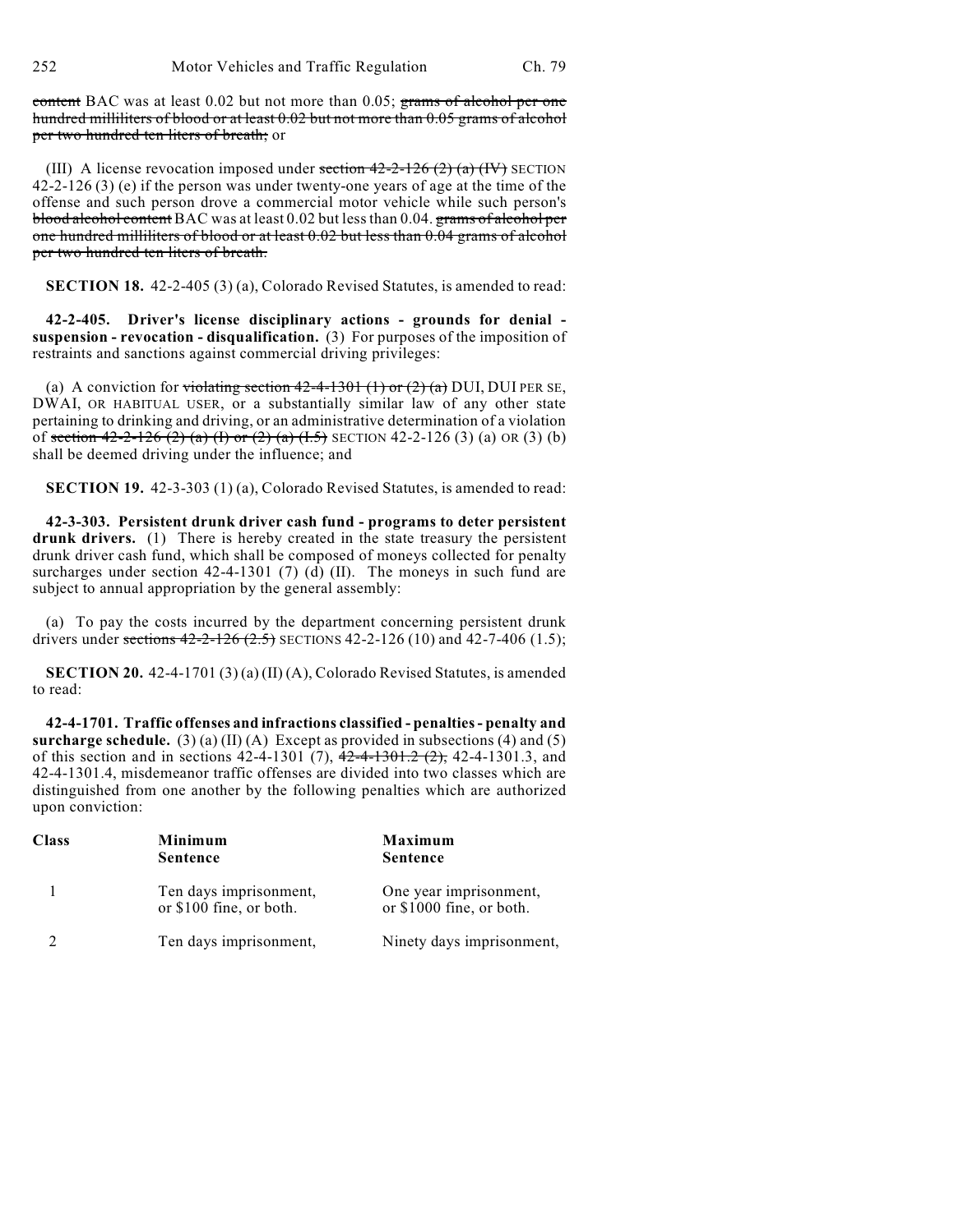252 Motor Vehicles and Traffic Regulation Ch. 79

content BAC was at least 0.02 but not more than 0.05; grams of alcohol per one hundred milliliters of blood or at least 0.02 but not more than 0.05 grams of alcohol per two hundred ten liters of breath; or

(III) A license revocation imposed under section  $42-2-126$  (2) (a) (IV) SECTION 42-2-126 (3) (e) if the person was under twenty-one years of age at the time of the offense and such person drove a commercial motor vehicle while such person's blood alcohol content BAC was at least 0.02 but less than 0.04. grams of alcohol per one hundred milliliters of blood or at least 0.02 but less than 0.04 grams of alcohol per two hundred ten liters of breath.

**SECTION 18.** 42-2-405 (3) (a), Colorado Revised Statutes, is amended to read:

**42-2-405. Driver's license disciplinary actions - grounds for denial suspension - revocation - disqualification.** (3) For purposes of the imposition of restraints and sanctions against commercial driving privileges:

(a) A conviction for violating section  $42-4-1301$  (1) or  $(2)$  (a) DUI, DUI PER SE, DWAI, OR HABITUAL USER, or a substantially similar law of any other state pertaining to drinking and driving, or an administrative determination of a violation of section  $42-2-126$  (2) (a) (I) or (2) (a) (I.5) SECTION 42-2-126 (3) (a) OR (3) (b) shall be deemed driving under the influence; and

**SECTION 19.** 42-3-303 (1) (a), Colorado Revised Statutes, is amended to read:

**42-3-303. Persistent drunk driver cash fund - programs to deter persistent** drunk drivers. (1) There is hereby created in the state treasury the persistent drunk driver cash fund, which shall be composed of moneys collected for penalty surcharges under section 42-4-1301 (7) (d) (II). The moneys in such fund are subject to annual appropriation by the general assembly:

(a) To pay the costs incurred by the department concerning persistent drunk drivers under sections  $42-2-126$   $(2.5)$  SECTIONS  $42-2-126$   $(10)$  and  $42-7-406$   $(1.5)$ ;

**SECTION 20.** 42-4-1701 (3) (a) (II) (A), Colorado Revised Statutes, is amended to read:

**42-4-1701. Traffic offenses and infractions classified - penalties - penalty and surcharge schedule.** (3) (a) (II) (A) Except as provided in subsections (4) and (5) of this section and in sections  $42-4-1301$  (7),  $\overline{42-4-1301.2}$ ,  $\overline{(2)}$ ,  $42-4-1301.3$ , and 42-4-1301.4, misdemeanor traffic offenses are divided into two classes which are distinguished from one another by the following penalties which are authorized upon conviction:

| Class | Minimum<br><b>Sentence</b>                        | Maximum<br><b>Sentence</b>                         |
|-------|---------------------------------------------------|----------------------------------------------------|
|       | Ten days imprisonment,<br>or \$100 fine, or both. | One year imprisonment,<br>or \$1000 fine, or both. |
|       | Ten days imprisonment,                            | Ninety days imprisonment,                          |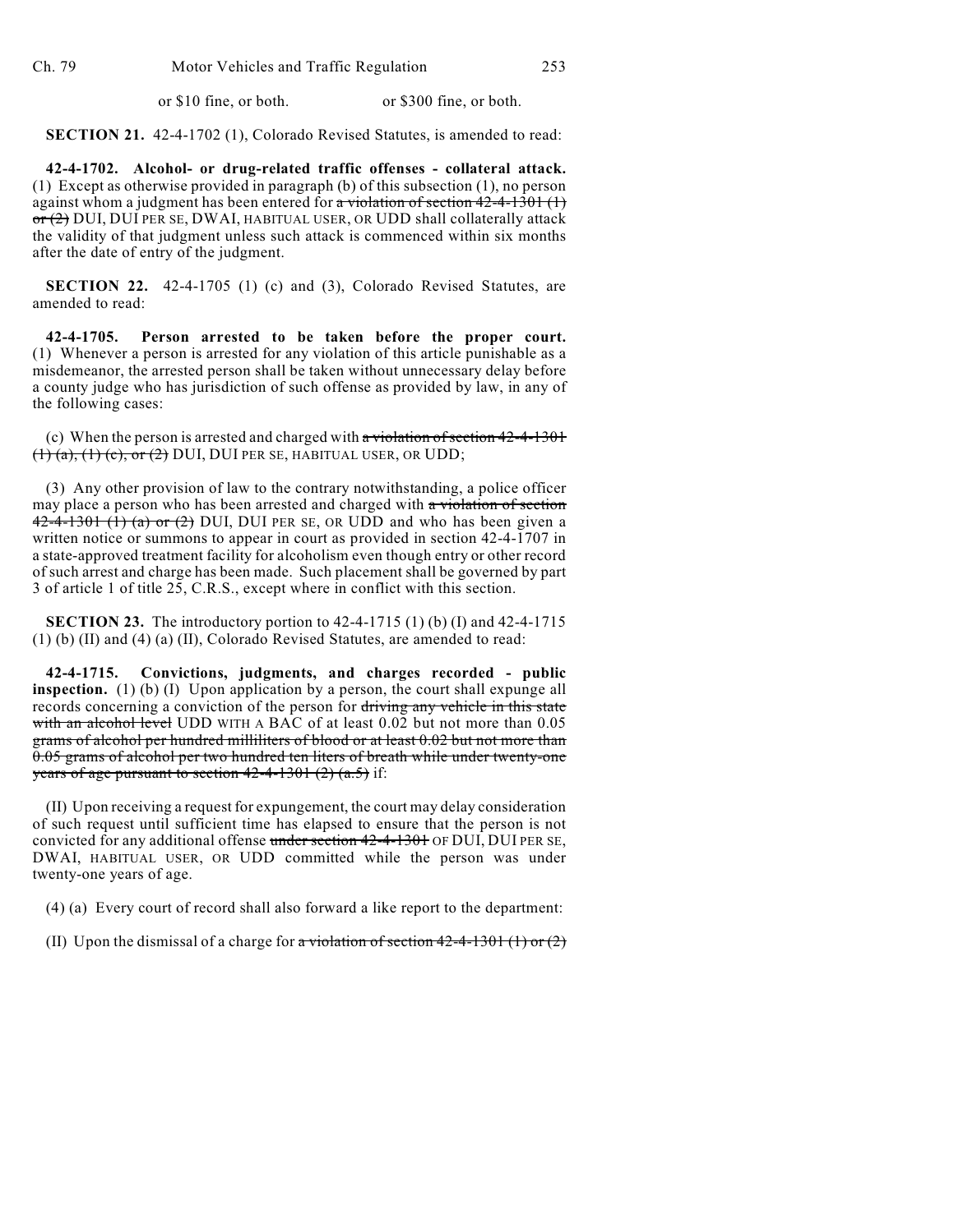or \$10 fine, or both. or \$300 fine, or both.

**SECTION 21.** 42-4-1702 (1), Colorado Revised Statutes, is amended to read:

**42-4-1702. Alcohol- or drug-related traffic offenses - collateral attack.** (1) Except as otherwise provided in paragraph (b) of this subsection (1), no person against whom a judgment has been entered for  $\alpha$  violation of section 42-4-1301 (1) or (2) DUI, DUI PER SE, DWAI, HABITUAL USER, OR UDD shall collaterally attack the validity of that judgment unless such attack is commenced within six months after the date of entry of the judgment.

**SECTION 22.** 42-4-1705 (1) (c) and (3), Colorado Revised Statutes, are amended to read:

**42-4-1705. Person arrested to be taken before the proper court.** (1) Whenever a person is arrested for any violation of this article punishable as a misdemeanor, the arrested person shall be taken without unnecessary delay before a county judge who has jurisdiction of such offense as provided by law, in any of the following cases:

(c) When the person is arrested and charged with a violation of section 42-4-1301  $(1)$   $(a)$ ,  $(1)$   $(c)$ , or  $(2)$  DUI, DUI PER SE, HABITUAL USER, OR UDD;

(3) Any other provision of law to the contrary notwithstanding, a police officer may place a person who has been arrested and charged with a violation of section  $42-4-1301$  (1) (a) or (2) DUI, DUI PER SE, OR UDD and who has been given a written notice or summons to appear in court as provided in section 42-4-1707 in a state-approved treatment facility for alcoholism even though entry or other record of such arrest and charge has been made. Such placement shall be governed by part 3 of article 1 of title 25, C.R.S., except where in conflict with this section.

**SECTION 23.** The introductory portion to 42-4-1715 (1) (b) (I) and 42-4-1715 (1) (b) (II) and (4) (a) (II), Colorado Revised Statutes, are amended to read:

**42-4-1715. Convictions, judgments, and charges recorded - public inspection.** (1) (b) (I) Upon application by a person, the court shall expunge all records concerning a conviction of the person for driving any vehicle in this state with an alcohol level UDD WITH A BAC of at least 0.02 but not more than 0.05 grams of alcohol per hundred milliliters of blood or at least 0.02 but not more than 0.05 grams of alcohol per two hundred ten liters of breath while under twenty-one years of age pursuant to section  $42-4-1301$   $(2)$   $(a.5)$  if:

(II) Upon receiving a request for expungement, the court may delay consideration of such request until sufficient time has elapsed to ensure that the person is not convicted for any additional offense under section 42-4-1301 OF DUI, DUI PER SE, DWAI, HABITUAL USER, OR UDD committed while the person was under twenty-one years of age.

(4) (a) Every court of record shall also forward a like report to the department:

(II) Upon the dismissal of a charge for  $\pi$  violation of section 42-4-1301 (1) or (2)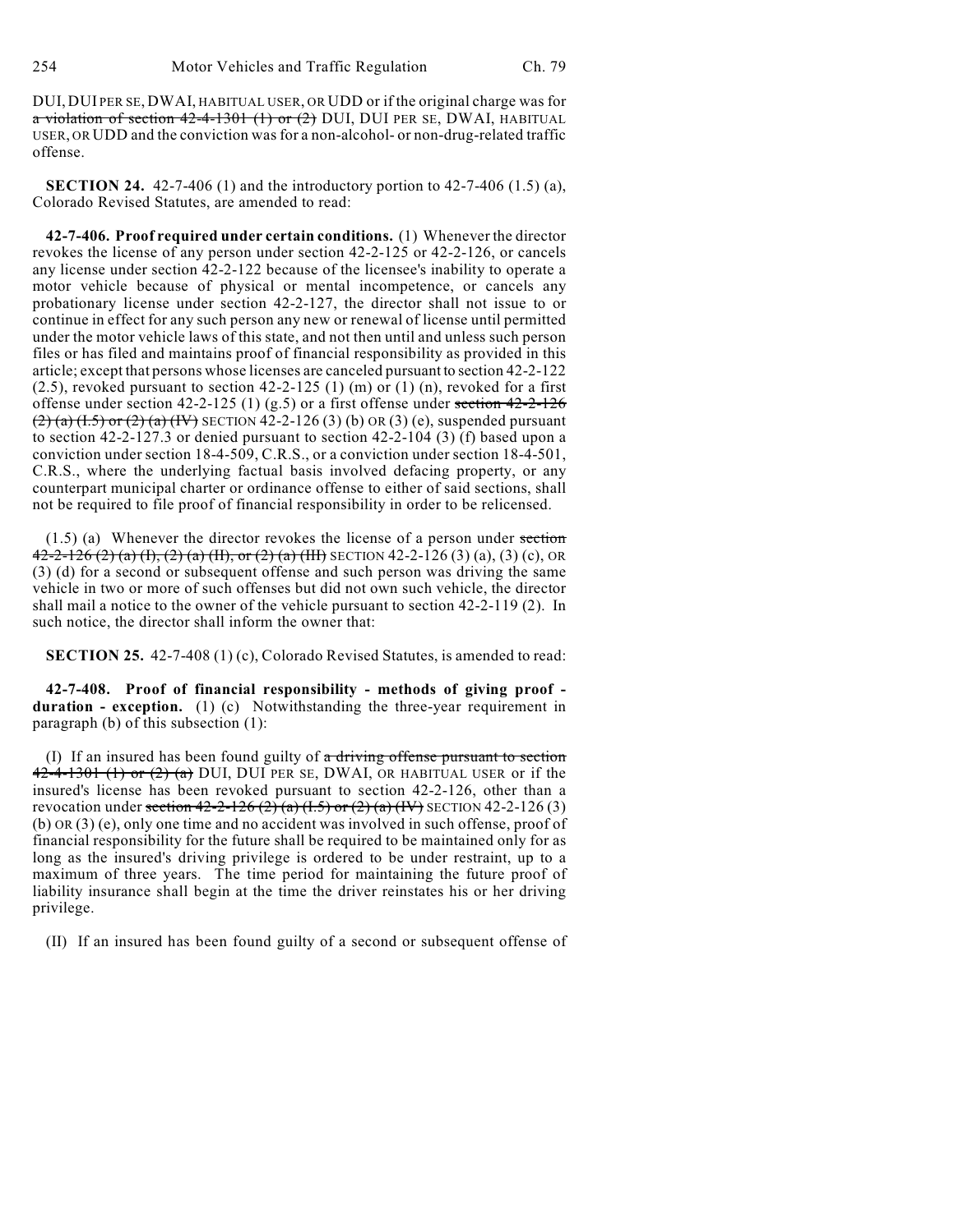DUI, DUI PER SE, DWAI, HABITUAL USER, OR UDD or if the original charge was for a violation of section  $42-4-1301$  (1) or (2) DUI, DUI PER SE, DWAI, HABITUAL USER, OR UDD and the conviction was for a non-alcohol- or non-drug-related traffic offense.

**SECTION 24.** 42-7-406 (1) and the introductory portion to 42-7-406 (1.5) (a), Colorado Revised Statutes, are amended to read:

**42-7-406. Proof required under certain conditions.** (1) Whenever the director revokes the license of any person under section 42-2-125 or 42-2-126, or cancels any license under section 42-2-122 because of the licensee's inability to operate a motor vehicle because of physical or mental incompetence, or cancels any probationary license under section 42-2-127, the director shall not issue to or continue in effect for any such person any new or renewal of license until permitted under the motor vehicle laws of this state, and not then until and unless such person files or has filed and maintains proof of financial responsibility as provided in this article; except that persons whose licenses are canceled pursuant to section 42-2-122  $(2.5)$ , revoked pursuant to section 42-2-125  $(1)$  (m) or  $(1)$  (n), revoked for a first offense under section 42-2-125 (1) (g.5) or a first offense under section  $42-2-126$  $(2)$  (a) (I.5) or (2) (a) (IV) SECTION 42-2-126 (3) (b) OR (3) (e), suspended pursuant to section  $42-2-127.3$  or denied pursuant to section  $42-2-104$  (3) (f) based upon a conviction under section 18-4-509, C.R.S., or a conviction under section 18-4-501, C.R.S., where the underlying factual basis involved defacing property, or any counterpart municipal charter or ordinance offense to either of said sections, shall not be required to file proof of financial responsibility in order to be relicensed.

 $(1.5)$  (a) Whenever the director revokes the license of a person under section  $\overline{42-2-126(2)(a)(1),(2)(a)(11)},$  or  $\overline{(2)(a)(11)}$  SECTION 42-2-126 (3) (a), (3) (c), OR (3) (d) for a second or subsequent offense and such person was driving the same vehicle in two or more of such offenses but did not own such vehicle, the director shall mail a notice to the owner of the vehicle pursuant to section 42-2-119 (2). In such notice, the director shall inform the owner that:

**SECTION 25.** 42-7-408 (1) (c), Colorado Revised Statutes, is amended to read:

**42-7-408. Proof of financial responsibility - methods of giving proof duration - exception.** (1) (c) Notwithstanding the three-year requirement in paragraph (b) of this subsection (1):

(I) If an insured has been found guilty of  $\alpha$  driving offense pursuant to section  $42-4-1301$  (1) or (2) (a) DUI, DUI PER SE, DWAI, OR HABITUAL USER or if the insured's license has been revoked pursuant to section 42-2-126, other than a revocation under section  $42-2-126(2)$  (a)  $(1.5)$  or  $(2)$  (a)  $(IV)$  SECTION 42-2-126 (3) (b) OR (3) (e), only one time and no accident was involved in such offense, proof of financial responsibility for the future shall be required to be maintained only for as long as the insured's driving privilege is ordered to be under restraint, up to a maximum of three years. The time period for maintaining the future proof of liability insurance shall begin at the time the driver reinstates his or her driving privilege.

(II) If an insured has been found guilty of a second or subsequent offense of